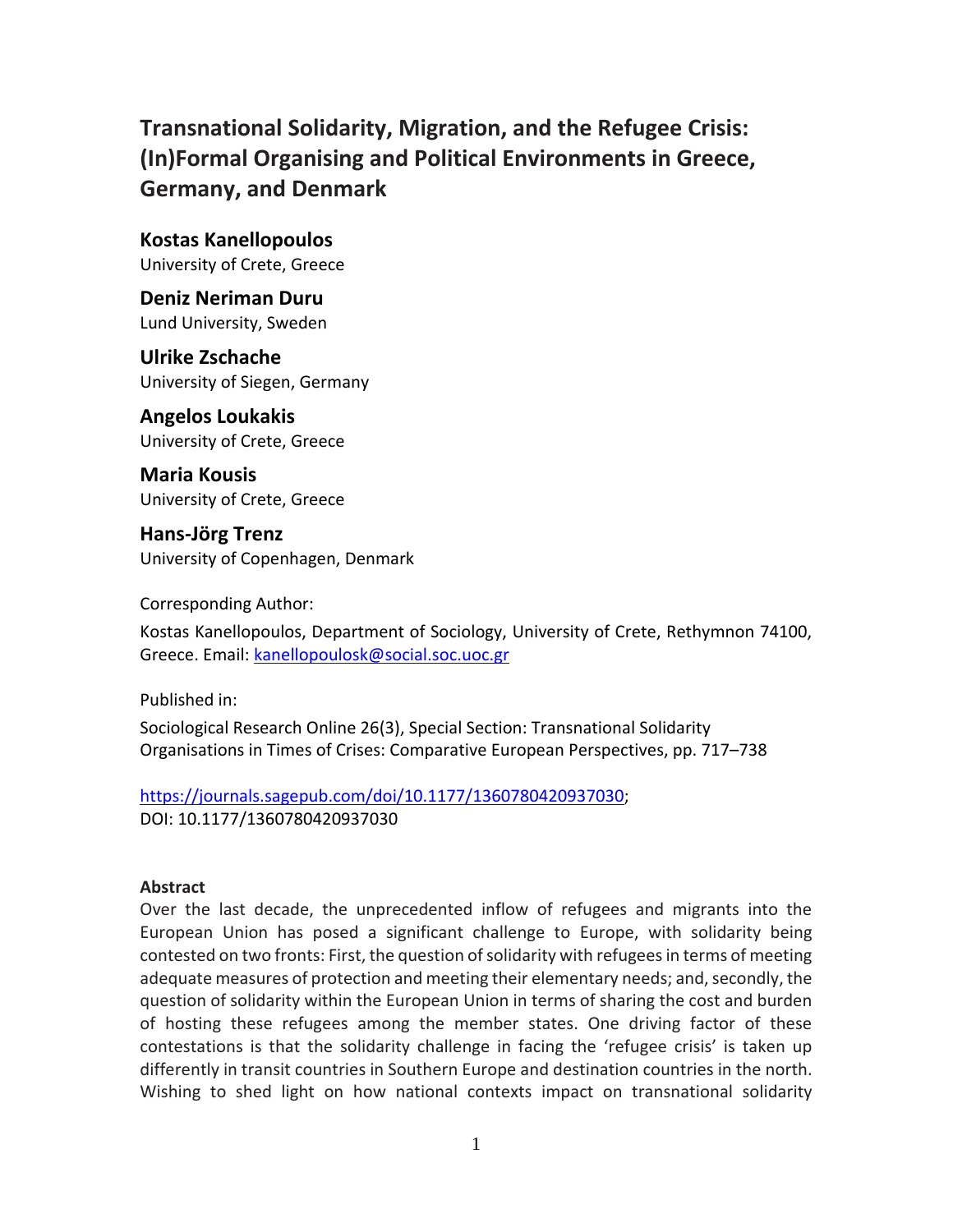**Transnational Solidarity, Migration, and the Refugee Crisis: (In)Formal Organising and Political Environments in Greece, Germany, and Denmark**

**Kostas Kanellopoulos** University of Crete, Greece

**Deniz Neriman Duru** Lund University, Sweden

**Ulrike Zschache** University of Siegen, Germany

**Angelos Loukakis** University of Crete, Greece

**Maria Kousis** University of Crete, Greece

**Hans-Jörg Trenz** University of Copenhagen, Denmark

Corresponding Author:

Kostas Kanellopoulos, Department of Sociology, University of Crete, Rethymnon 74100, Greece. Email: [kanellopoulosk@social.soc.uoc.gr](mailto:kanellopoulosk@social.soc.uoc.gr)

Published in:

Sociological Research Online 26(3), Special Section: Transnational Solidarity Organisations in Times of Crises: Comparative European Perspectives, pp. 717–738

[https://journals.sagepub.com/doi/10.1177/1360780420937030;](https://journals.sagepub.com/doi/10.1177/1360780420937030) DOI: 10.1177/1360780420937030

#### **Abstract**

Over the last decade, the unprecedented inflow of refugees and migrants into the European Union has posed a significant challenge to Europe, with solidarity being contested on two fronts: First, the question of solidarity with refugees in terms of meeting adequate measures of protection and meeting their elementary needs; and, secondly, the question of solidarity within the European Union in terms of sharing the cost and burden of hosting these refugees among the member states. One driving factor of these contestations is that the solidarity challenge in facing the 'refugee crisis' is taken up differently in transit countries in Southern Europe and destination countries in the north. Wishing to shed light on how national contexts impact on transnational solidarity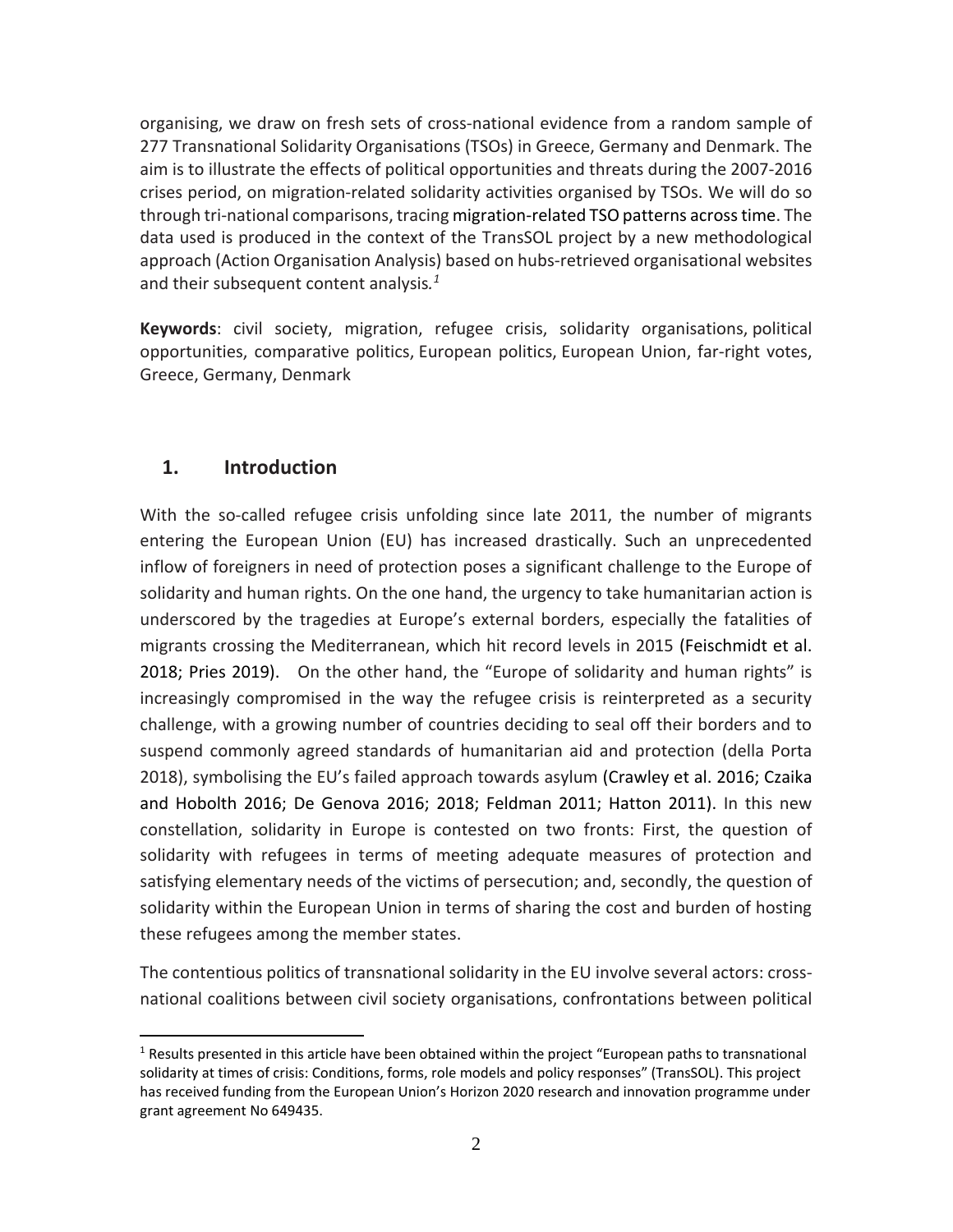organising, we draw on fresh sets of cross-national evidence from a random sample of 277 Transnational Solidarity Organisations (TSOs) in Greece, Germany and Denmark. The aim is to illustrate the effects of political opportunities and threats during the 2007-2016 crises period, on migration-related solidarity activities organised by TSOs. We will do so through tri-national comparisons, tracing migration-related TSO patterns across time. The data used is produced in the context of the TransSOL project by a new methodological approach (Action Organisation Analysis) based on hubs-retrieved organisational websites and their subsequent content analysis*. 1*

**Keywords**: civil society, migration, refugee crisis, solidarity organisations, political opportunities, comparative politics, European politics, European Union, far-right votes, Greece, Germany, Denmark

# **1. Introduction**

With the so-called refugee crisis unfolding since late 2011, the number of migrants entering the European Union (EU) has increased drastically. Such an unprecedented inflow of foreigners in need of protection poses a significant challenge to the Europe of solidarity and human rights. On the one hand, the urgency to take humanitarian action is underscored by the tragedies at Europe's external borders, especially the fatalities of migrants crossing the Mediterranean, which hit record levels in 2015 [\(Feischmidt et al.](#page-21-0)  [2018;](#page-21-0) [Pries 2019\)](#page-23-0). On the other hand, the "Europe of solidarity and human rights" is increasingly compromised in the way the refugee crisis is reinterpreted as a security challenge, with a growing number of countries deciding to seal off their borders and to suspend commonly agreed standards of humanitarian aid and protection [\(della Porta](#page-21-1)  [2018\)](#page-21-1), symbolising the EU's failed approach towards asylum [\(Crawley et al. 2016;](#page-21-2) [Czaika](#page-21-3)  [and Hobolth 2016;](#page-21-3) [De Genova 2016;](#page-21-4) [2018;](#page-21-5) [Feldman 2011;](#page-22-0) [Hatton 2011\)](#page-22-1). In this new constellation, solidarity in Europe is contested on two fronts: First, the question of solidarity with refugees in terms of meeting adequate measures of protection and satisfying elementary needs of the victims of persecution; and, secondly, the question of solidarity within the European Union in terms of sharing the cost and burden of hosting these refugees among the member states.

The contentious politics of transnational solidarity in the EU involve several actors: crossnational coalitions between civil society organisations, confrontations between political

 $1$  Results presented in this article have been obtained within the project "European paths to transnational solidarity at times of crisis: Conditions, forms, role models and policy responses" (TransSOL). This project has received funding from the European Union's Horizon 2020 research and innovation programme under grant agreement No 649435.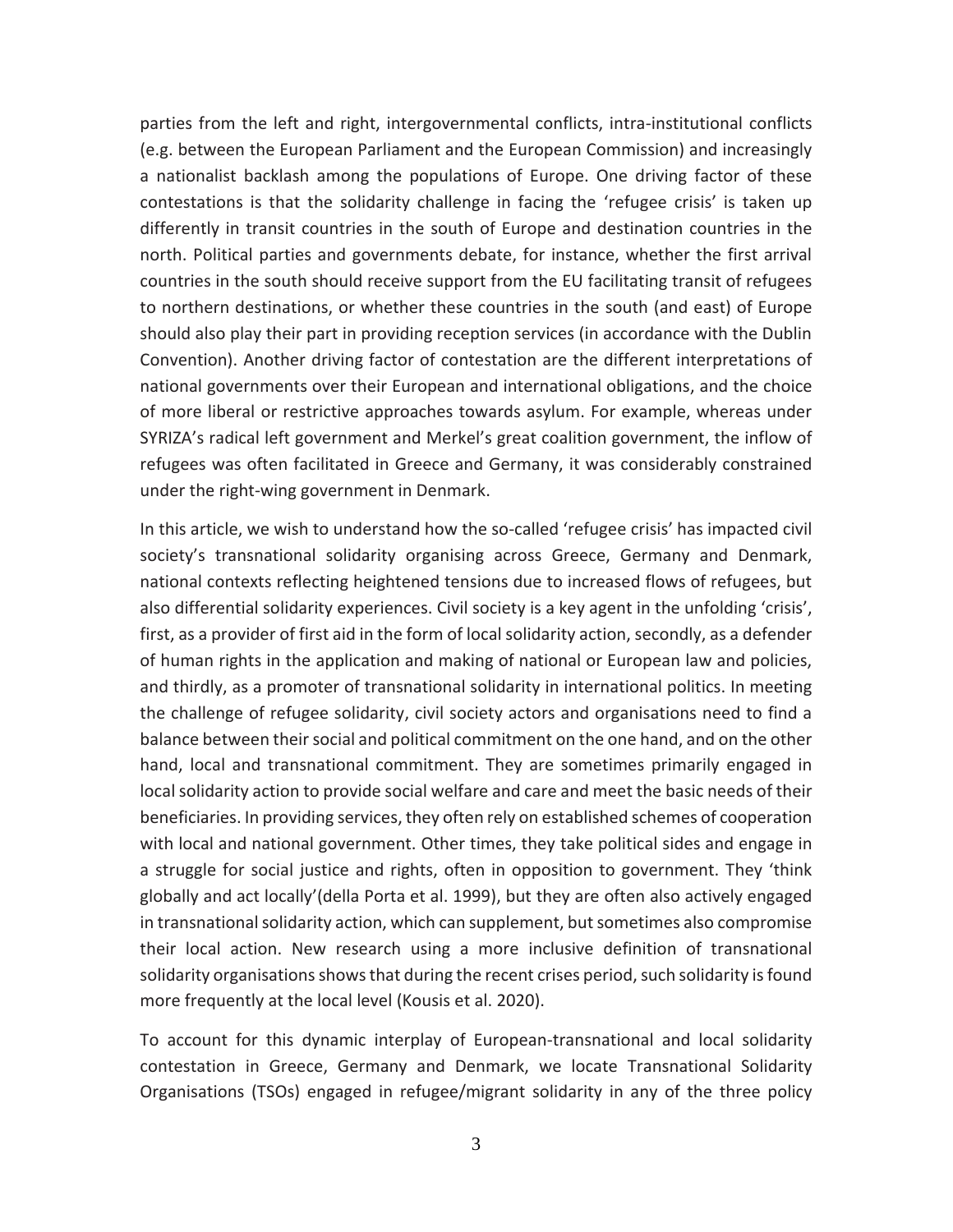parties from the left and right, intergovernmental conflicts, intra-institutional conflicts (e.g. between the European Parliament and the European Commission) and increasingly a nationalist backlash among the populations of Europe. One driving factor of these contestations is that the solidarity challenge in facing the 'refugee crisis' is taken up differently in transit countries in the south of Europe and destination countries in the north. Political parties and governments debate, for instance, whether the first arrival countries in the south should receive support from the EU facilitating transit of refugees to northern destinations, or whether these countries in the south (and east) of Europe should also play their part in providing reception services (in accordance with the Dublin Convention). Another driving factor of contestation are the different interpretations of national governments over their European and international obligations, and the choice of more liberal or restrictive approaches towards asylum. For example, whereas under SYRIZA's radical left government and Merkel's great coalition government, the inflow of refugees was often facilitated in Greece and Germany, it was considerably constrained under the right-wing government in Denmark.

In this article, we wish to understand how the so-called 'refugee crisis' has impacted civil society's transnational solidarity organising across Greece, Germany and Denmark, national contexts reflecting heightened tensions due to increased flows of refugees, but also differential solidarity experiences. Civil society is a key agent in the unfolding 'crisis', first, as a provider of first aid in the form of local solidarity action, secondly, as a defender of human rights in the application and making of national or European law and policies, and thirdly, as a promoter of transnational solidarity in international politics. In meeting the challenge of refugee solidarity, civil society actors and organisations need to find a balance between their social and political commitment on the one hand, and on the other hand, local and transnational commitment. They are sometimes primarily engaged in local solidarity action to provide social welfare and care and meet the basic needs of their beneficiaries. In providing services, they often rely on established schemes of cooperation with local and national government. Other times, they take political sides and engage in a struggle for social justice and rights, often in opposition to government. They 'think globally and act locally'[\(della Porta et al. 1999\)](#page-21-6), but they are often also actively engaged in transnational solidarity action, which can supplement, but sometimes also compromise their local action. New research using a more inclusive definition of transnational solidarity organisations shows that during the recent crises period, such solidarity is found more frequently at the local level (Kousis et al. 2020).

To account for this dynamic interplay of European-transnational and local solidarity contestation in Greece, Germany and Denmark, we locate Transnational Solidarity Organisations (TSOs) engaged in refugee/migrant solidarity in any of the three policy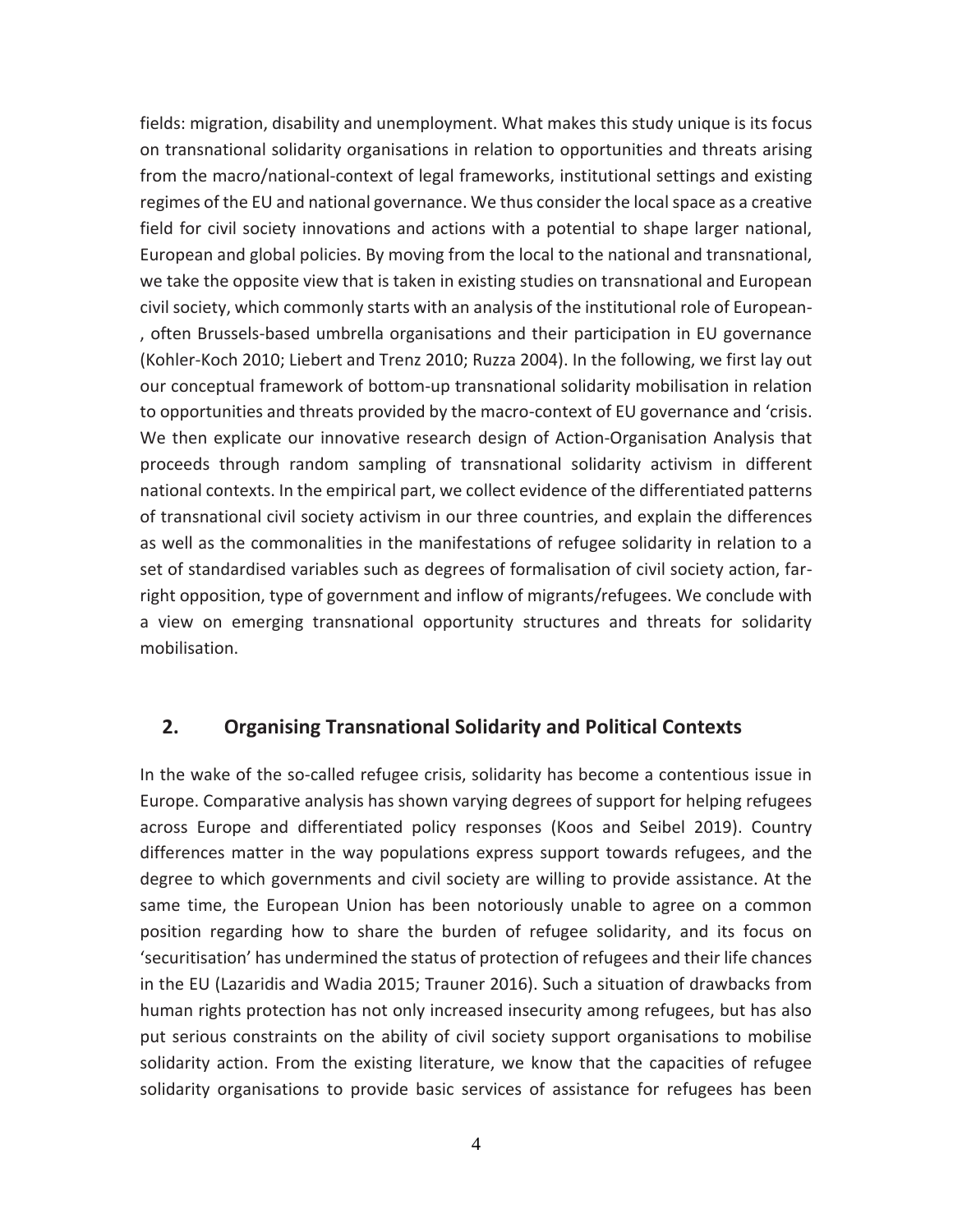fields: migration, disability and unemployment. What makes this study unique is its focus on transnational solidarity organisations in relation to opportunities and threats arising from the macro/national-context of legal frameworks, institutional settings and existing regimes of the EU and national governance. We thus consider the local space as a creative field for civil society innovations and actions with a potential to shape larger national, European and global policies. By moving from the local to the national and transnational, we take the opposite view that is taken in existing studies on transnational and European civil society, which commonly starts with an analysis of the institutional role of European- , often Brussels-based umbrella organisations and their participation in EU governance [\(Kohler-Koch 2010;](#page-22-2) [Liebert and Trenz 2010;](#page-23-1) [Ruzza 2004\)](#page-23-2). In the following, we first lay out our conceptual framework of bottom-up transnational solidarity mobilisation in relation to opportunities and threats provided by the macro-context of EU governance and 'crisis. We then explicate our innovative research design of Action-Organisation Analysis that proceeds through random sampling of transnational solidarity activism in different national contexts. In the empirical part, we collect evidence of the differentiated patterns of transnational civil society activism in our three countries, and explain the differences as well as the commonalities in the manifestations of refugee solidarity in relation to a set of standardised variables such as degrees of formalisation of civil society action, farright opposition, type of government and inflow of migrants/refugees. We conclude with a view on emerging transnational opportunity structures and threats for solidarity mobilisation.

#### **2. Organising Transnational Solidarity and Political Contexts**

In the wake of the so-called refugee crisis, solidarity has become a contentious issue in Europe. Comparative analysis has shown varying degrees of support for helping refugees across Europe and differentiated policy responses [\(Koos and Seibel 2019\)](#page-22-3). Country differences matter in the way populations express support towards refugees, and the degree to which governments and civil society are willing to provide assistance. At the same time, the European Union has been notoriously unable to agree on a common position regarding how to share the burden of refugee solidarity, and its focus on 'securitisation' has undermined the status of protection of refugees and their life chances in the EU [\(Lazaridis and Wadia 2015;](#page-23-3) [Trauner 2016\)](#page-23-4). Such a situation of drawbacks from human rights protection has not only increased insecurity among refugees, but has also put serious constraints on the ability of civil society support organisations to mobilise solidarity action. From the existing literature, we know that the capacities of refugee solidarity organisations to provide basic services of assistance for refugees has been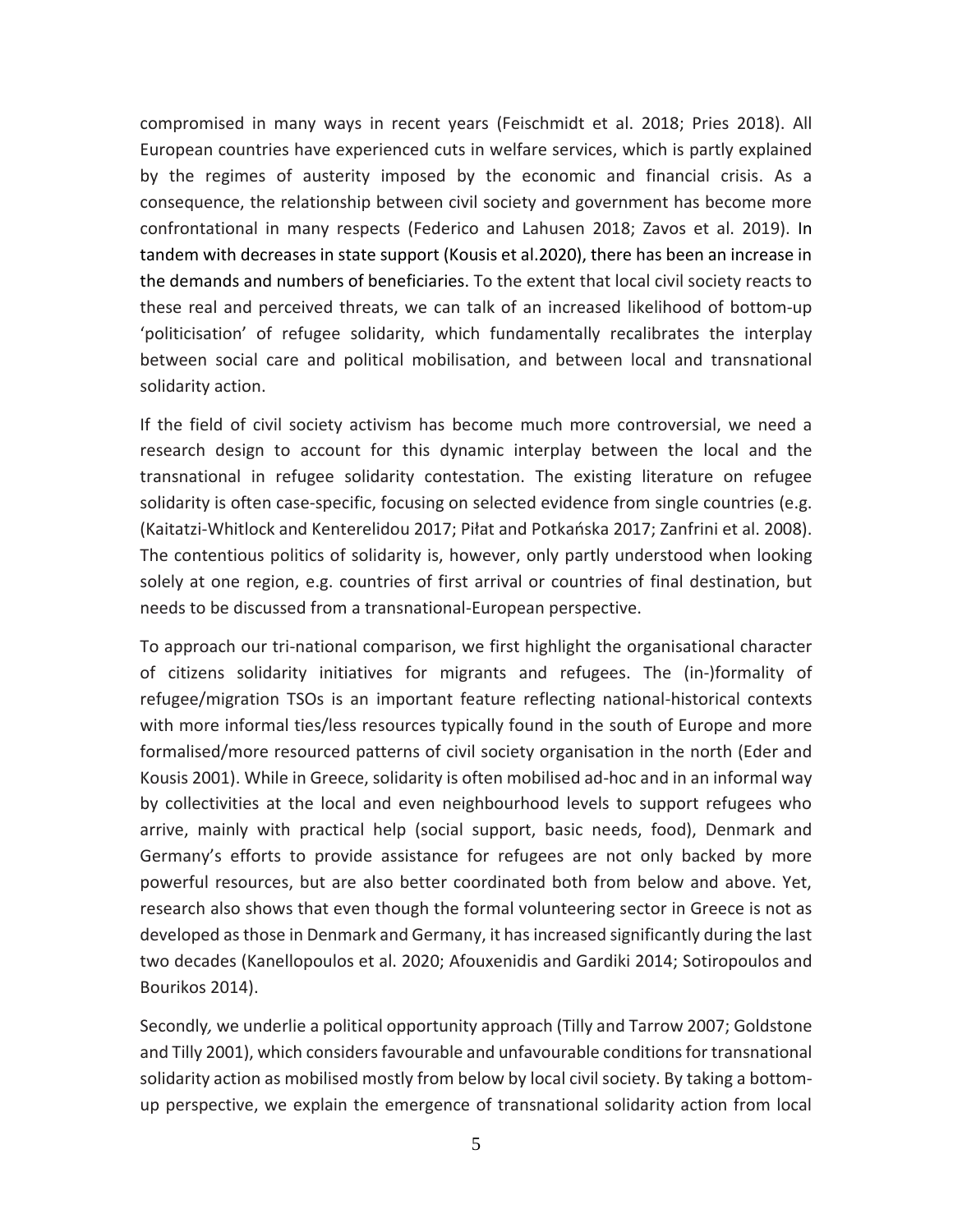compromised in many ways in recent years [\(Feischmidt et al. 2018;](#page-21-0) [Pries 2018\)](#page-23-5). All European countries have experienced cuts in welfare services, which is partly explained by the regimes of austerity imposed by the economic and financial crisis. As a consequence, the relationship between civil society and government has become more confrontational in many respects [\(Federico and Lahusen 2018;](#page-21-7) [Zavos et al. 2019\)](#page-24-0). In tandem with decreases in state support (Kousis et al.2020), there has been an increase in the demands and numbers of beneficiaries. To the extent that local civil society reacts to these real and perceived threats, we can talk of an increased likelihood of bottom-up 'politicisation' of refugee solidarity, which fundamentally recalibrates the interplay between social care and political mobilisation, and between local and transnational solidarity action.

If the field of civil society activism has become much more controversial, we need a research design to account for this dynamic interplay between the local and the transnational in refugee solidarity contestation. The existing literature on refugee solidarity is often case-specific, focusing on selected evidence from single countries (e.g. [\(Kaitatzi-Whitlock and Kenterelidou 2017;](#page-22-4) [Piłat and Potkańska 2017](#page-23-6); [Zanfrini et al. 2008\)](#page-24-1). The contentious politics of solidarity is, however, only partly understood when looking solely at one region, e.g. countries of first arrival or countries of final destination, but needs to be discussed from a transnational-European perspective.

To approach our tri-national comparison, we first highlight the organisational character of citizens solidarity initiatives for migrants and refugees. The (in-)formality of refugee/migration TSOs is an important feature reflecting national-historical contexts with more informal ties/less resources typically found in the south of Europe and more formalised/more resourced patterns of civil society organisation in the north (Eder and Kousis 2001). While in Greece, solidarity is often mobilised ad-hoc and in an informal way by collectivities at the local and even neighbourhood levels to support refugees who arrive, mainly with practical help (social support, basic needs, food), Denmark and Germany's efforts to provide assistance for refugees are not only backed by more powerful resources, but are also better coordinated both from below and above. Yet, research also shows that even though the formal volunteering sector in Greece is not as developed as those in Denmark and Germany, it has increased significantly during the last two decades (Kanellopoulos et al. 2020; Afouxenidis and Gardiki 2014; Sotiropoulos and Bourikos 2014).

Secondly*,* we underlie a political opportunity approach (Tilly and Tarrow 2007; Goldstone and Tilly 2001), which considers favourable and unfavourable conditions for transnational solidarity action as mobilised mostly from below by local civil society. By taking a bottomup perspective, we explain the emergence of transnational solidarity action from local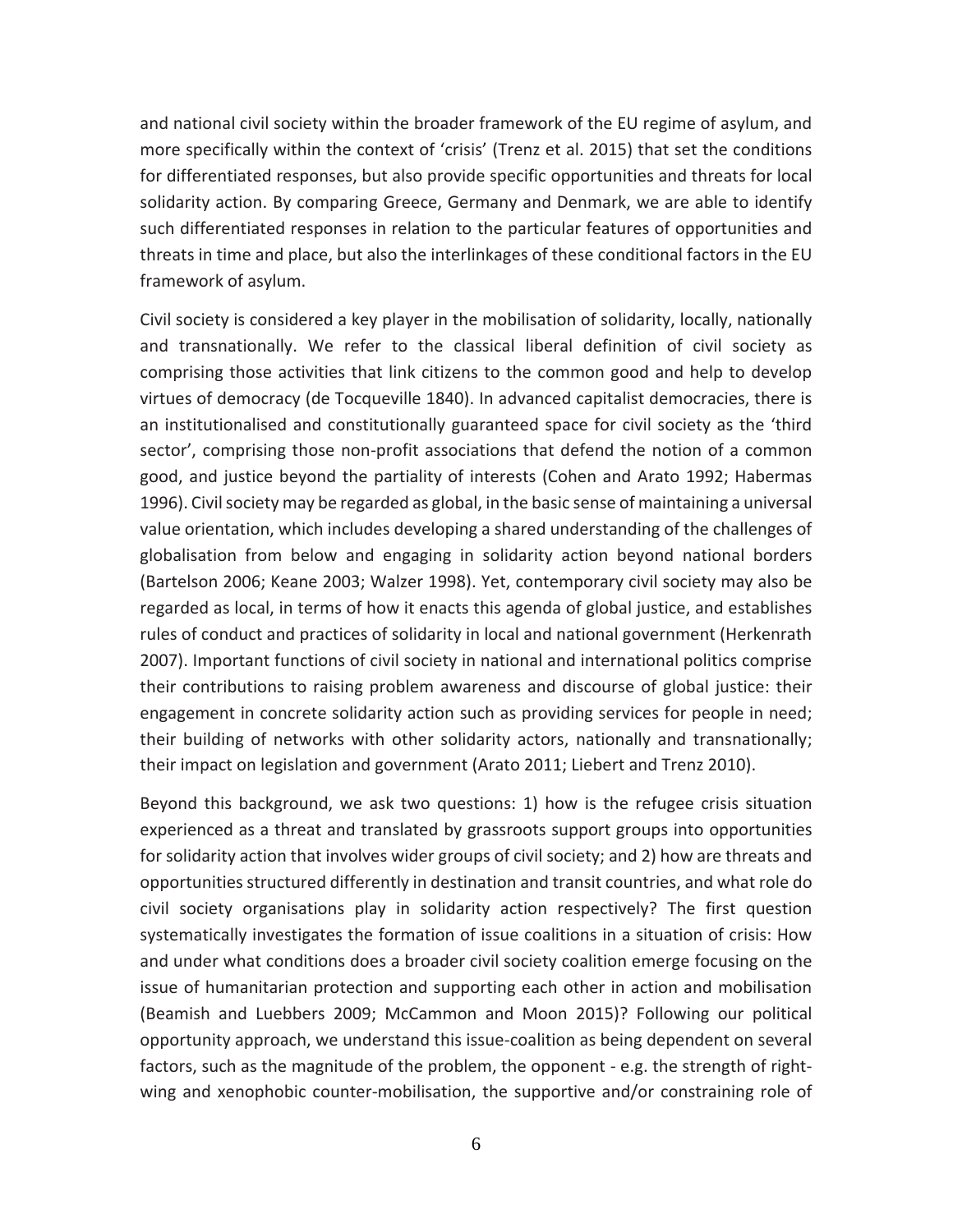and national civil society within the broader framework of the EU regime of asylum, and more specifically within the context of 'crisis' (Trenz et al. 2015) that set the conditions for differentiated responses, but also provide specific opportunities and threats for local solidarity action. By comparing Greece, Germany and Denmark, we are able to identify such differentiated responses in relation to the particular features of opportunities and threats in time and place, but also the interlinkages of these conditional factors in the EU framework of asylum.

Civil society is considered a key player in the mobilisation of solidarity, locally, nationally and transnationally. We refer to the classical liberal definition of civil society as comprising those activities that link citizens to the common good and help to develop virtues of democracy [\(de Tocqueville 1840\)](#page-21-8). In advanced capitalist democracies, there is an institutionalised and constitutionally guaranteed space for civil society as the 'third sector', comprising those non-profit associations that defend the notion of a common good, and justice beyond the partiality of interests (Cohen and Arato 1992; Habermas 1996). Civil society may be regarded as global, in the basic sense of maintaining a universal value orientation, which includes developing a shared understanding of the challenges of globalisation from below and engaging in solidarity action beyond national borders [\(Bartelson 2006;](#page-21-9) [Keane 2003;](#page-22-5) [Walzer 1998\)](#page-24-2). Yet, contemporary civil society may also be regarded as local, in terms of how it enacts this agenda of global justice, and establishes rules of conduct and practices of solidarity in local and national government (Herkenrath 2007). Important functions of civil society in national and international politics comprise their contributions to raising problem awareness and discourse of global justice: their engagement in concrete solidarity action such as providing services for people in need; their building of networks with other solidarity actors, nationally and transnationally; their impact on legislation and government [\(Arato 2011;](#page-21-10) [Liebert and Trenz 2010\)](#page-23-1).

Beyond this background, we ask two questions: 1) how is the refugee crisis situation experienced as a threat and translated by grassroots support groups into opportunities for solidarity action that involves wider groups of civil society; and 2) how are threats and opportunities structured differently in destination and transit countries, and what role do civil society organisations play in solidarity action respectively? The first question systematically investigates the formation of issue coalitions in a situation of crisis: How and under what conditions does a broader civil society coalition emerge focusing on the issue of humanitarian protection and supporting each other in action and mobilisation [\(Beamish and Luebbers 2009;](#page-21-11) [McCammon and Moon 2015\)](#page-23-7)? Following our political opportunity approach, we understand this issue-coalition as being dependent on several factors, such as the magnitude of the problem, the opponent - e.g. the strength of rightwing and xenophobic counter-mobilisation, the supportive and/or constraining role of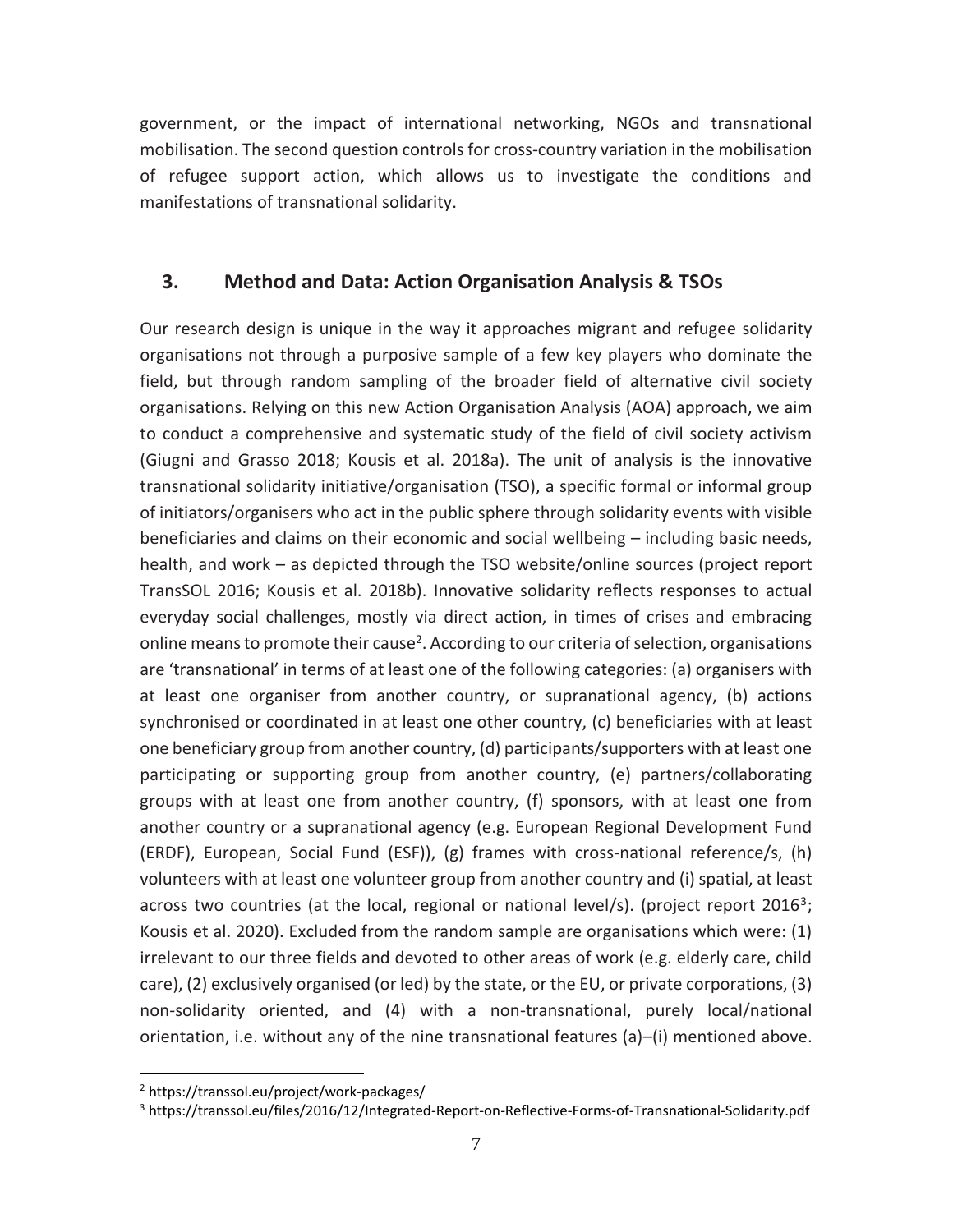government, or the impact of international networking, NGOs and transnational mobilisation. The second question controls for cross-country variation in the mobilisation of refugee support action, which allows us to investigate the conditions and manifestations of transnational solidarity.

### **3. Method and Data: Action Organisation Analysis & TSOs**

Our research design is unique in the way it approaches migrant and refugee solidarity organisations not through a purposive sample of a few key players who dominate the field, but through random sampling of the broader field of alternative civil society organisations. Relying on this new Action Organisation Analysis (AOA) approach, we aim to conduct a comprehensive and systematic study of the field of civil society activism [\(Giugni and Grasso 2018;](#page-22-6) Kousis et al. 2018a). The unit of analysis is the innovative transnational solidarity initiative/organisation (TSO), a specific formal or informal group of initiators/organisers who act in the public sphere through solidarity events with visible beneficiaries and claims on their economic and social wellbeing – including basic needs, health, and work – as depicted through the TSO website/online sources (project report TransSOL 2016; Kousis et al. 2018b). Innovative solidarity reflects responses to actual everyday social challenges, mostly via direct action, in times of crises and embracing online means to promote their cause<sup>2</sup>. According to our criteria of selection, organisations are 'transnational' in terms of at least one of the following categories: (a) organisers with at least one organiser from another country, or supranational agency, (b) actions synchronised or coordinated in at least one other country, (c) beneficiaries with at least one beneficiary group from another country, (d) participants/supporters with at least one participating or supporting group from another country, (e) partners/collaborating groups with at least one from another country, (f) sponsors, with at least one from another country or a supranational agency (e.g. European Regional Development Fund (ERDF), European, Social Fund (ESF)), (g) frames with cross-national reference/s, (h) volunteers with at least one volunteer group from another country and (i) spatial, at least across two countries (at the local, regional or national level/s). (project report 2016<sup>3</sup>; Kousis et al. 2020). Excluded from the random sample are organisations which were: (1) irrelevant to our three fields and devoted to other areas of work (e.g. elderly care, child care), (2) exclusively organised (or led) by the state, or the EU, or private corporations, (3) non-solidarity oriented, and (4) with a non-transnational, purely local/national orientation, i.e. without any of the nine transnational features (a)–(i) mentioned above.

<sup>2</sup> https://transsol.eu/project/work-packages/

<sup>3</sup> https://transsol.eu/files/2016/12/Integrated-Report-on-Reflective-Forms-of-Transnational-Solidarity.pdf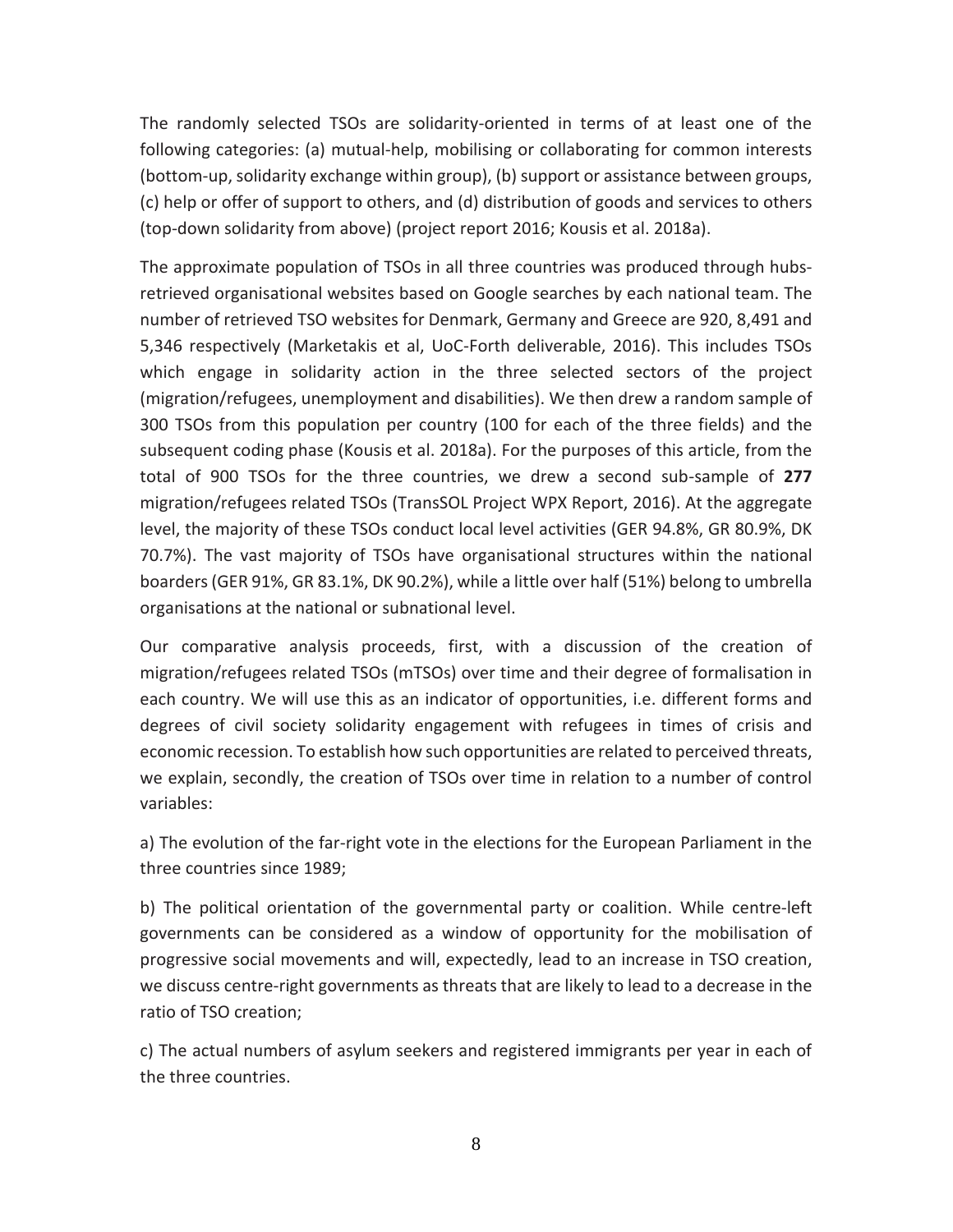The randomly selected TSOs are solidarity-oriented in terms of at least one of the following categories: (a) mutual-help, mobilising or collaborating for common interests (bottom-up, solidarity exchange within group), (b) support or assistance between groups, (c) help or offer of support to others, and (d) distribution of goods and services to others (top-down solidarity from above) (project report 2016; Kousis et al. 2018a).

The approximate population of TSOs in all three countries was produced through hubsretrieved organisational websites based on Google searches by each national team. The number of retrieved TSO websites for Denmark, Germany and Greece are 920, 8,491 and 5,346 respectively (Marketakis et al, UoC-Forth deliverable, 2016). This includes TSOs which engage in solidarity action in the three selected sectors of the project (migration/refugees, unemployment and disabilities). We then drew a random sample of 300 TSOs from this population per country (100 for each of the three fields) and the subsequent coding phase (Kousis et al. 2018a). For the purposes of this article, from the total of 900 TSOs for the three countries, we drew a second sub-sample of **277** migration/refugees related TSOs (TransSOL Project WPX Report, 2016). At the aggregate level, the majority of these TSOs conduct local level activities (GER 94.8%, GR 80.9%, DK 70.7%). The vast majority of TSOs have organisational structures within the national boarders (GER 91%, GR 83.1%, DK 90.2%), while a little over half (51%) belong to umbrella organisations at the national or subnational level.

Our comparative analysis proceeds, first, with a discussion of the creation of migration/refugees related TSOs (mTSOs) over time and their degree of formalisation in each country. We will use this as an indicator of opportunities, i.e. different forms and degrees of civil society solidarity engagement with refugees in times of crisis and economic recession. To establish how such opportunities are related to perceived threats, we explain, secondly, the creation of TSOs over time in relation to a number of control variables:

a) The evolution of the far-right vote in the elections for the European Parliament in the three countries since 1989;

b) The political orientation of the governmental party or coalition. While centre-left governments can be considered as a window of opportunity for the mobilisation of progressive social movements and will, expectedly, lead to an increase in TSO creation, we discuss centre-right governments as threats that are likely to lead to a decrease in the ratio of TSO creation;

c) The actual numbers of asylum seekers and registered immigrants per year in each of the three countries.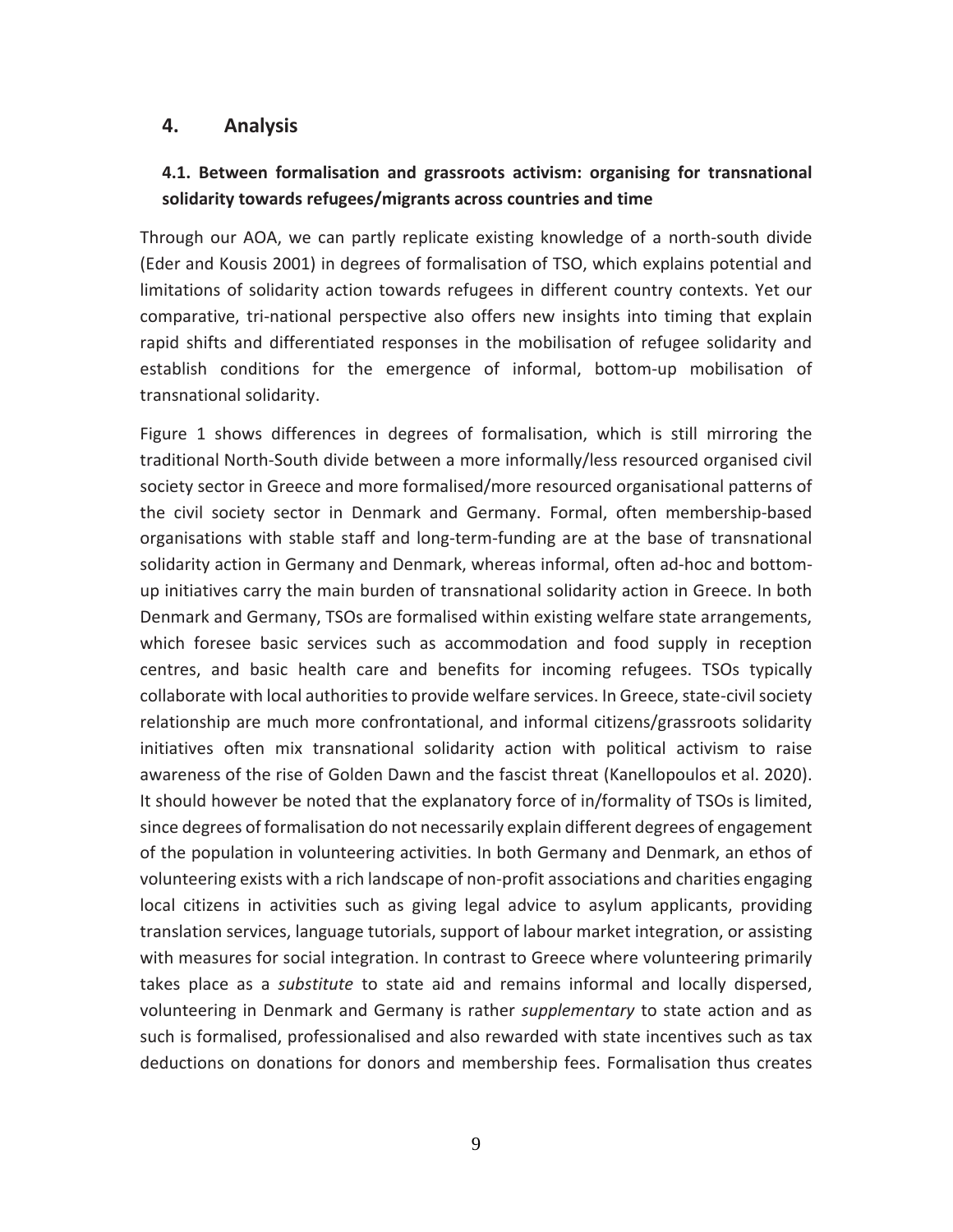#### **4. Analysis**

## **4.1. Between formalisation and grassroots activism: organising for transnational solidarity towards refugees/migrants across countries and time**

Through our AOA, we can partly replicate existing knowledge of a north-south divide (Eder and Kousis 2001) in degrees of formalisation of TSO, which explains potential and limitations of solidarity action towards refugees in different country contexts. Yet our comparative, tri-national perspective also offers new insights into timing that explain rapid shifts and differentiated responses in the mobilisation of refugee solidarity and establish conditions for the emergence of informal, bottom-up mobilisation of transnational solidarity.

Figure 1 shows differences in degrees of formalisation, which is still mirroring the traditional North-South divide between a more informally/less resourced organised civil society sector in Greece and more formalised/more resourced organisational patterns of the civil society sector in Denmark and Germany. Formal, often membership-based organisations with stable staff and long-term-funding are at the base of transnational solidarity action in Germany and Denmark, whereas informal, often ad-hoc and bottomup initiatives carry the main burden of transnational solidarity action in Greece. In both Denmark and Germany, TSOs are formalised within existing welfare state arrangements, which foresee basic services such as accommodation and food supply in reception centres, and basic health care and benefits for incoming refugees. TSOs typically collaborate with local authorities to provide welfare services. In Greece, state-civil society relationship are much more confrontational, and informal citizens/grassroots solidarity initiatives often mix transnational solidarity action with political activism to raise awareness of the rise of Golden Dawn and the fascist threat (Kanellopoulos et al. 2020). It should however be noted that the explanatory force of in/formality of TSOs is limited, since degrees of formalisation do not necessarily explain different degrees of engagement of the population in volunteering activities. In both Germany and Denmark, an ethos of volunteering exists with a rich landscape of non-profit associations and charities engaging local citizens in activities such as giving legal advice to asylum applicants, providing translation services, language tutorials, support of labour market integration, or assisting with measures for social integration. In contrast to Greece where volunteering primarily takes place as a *substitute* to state aid and remains informal and locally dispersed, volunteering in Denmark and Germany is rather *supplementary* to state action and as such is formalised, professionalised and also rewarded with state incentives such as tax deductions on donations for donors and membership fees. Formalisation thus creates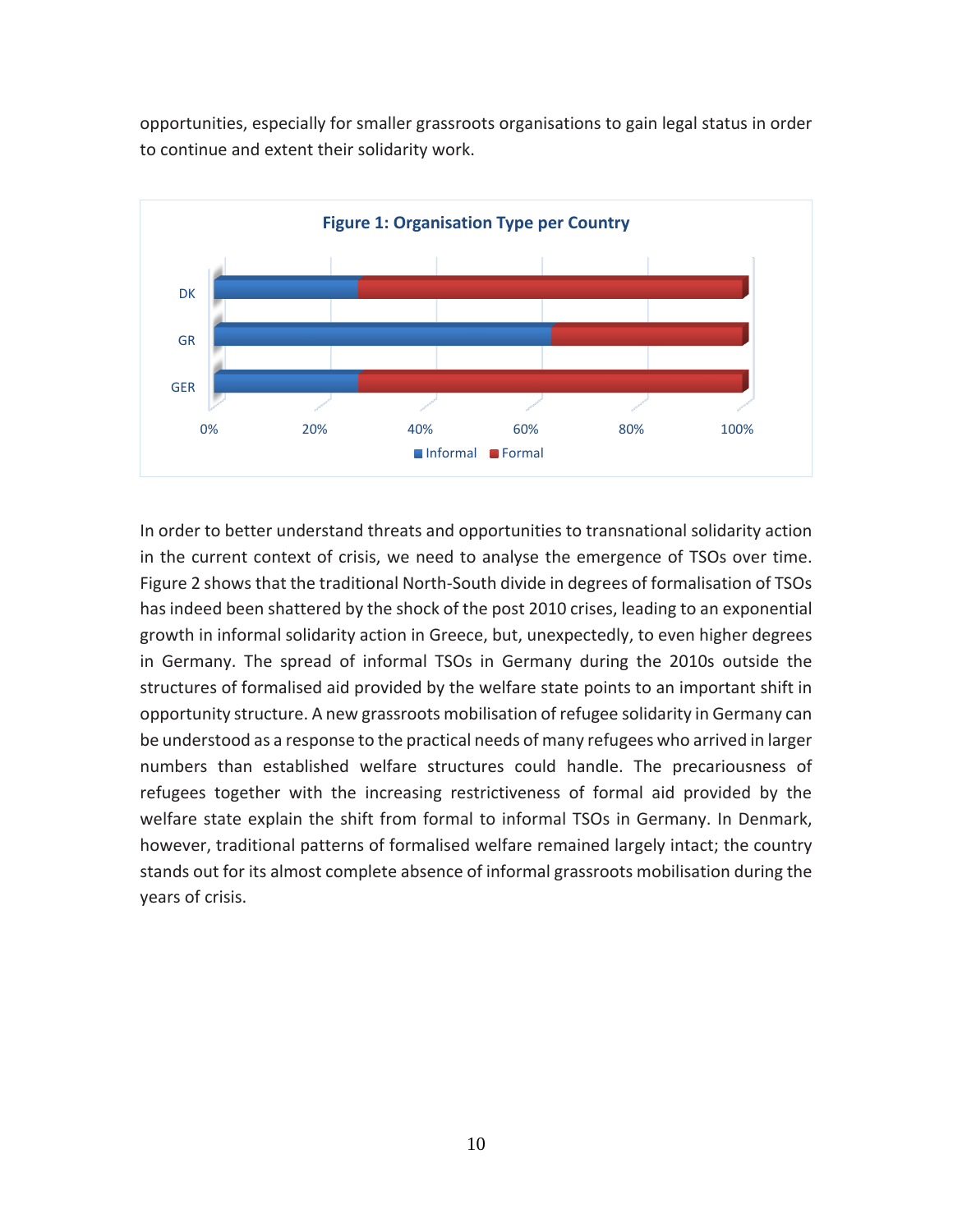opportunities, especially for smaller grassroots organisations to gain legal status in order to continue and extent their solidarity work.



In order to better understand threats and opportunities to transnational solidarity action in the current context of crisis, we need to analyse the emergence of TSOs over time. Figure 2 shows that the traditional North-South divide in degrees of formalisation of TSOs has indeed been shattered by the shock of the post 2010 crises, leading to an exponential growth in informal solidarity action in Greece, but, unexpectedly, to even higher degrees in Germany. The spread of informal TSOs in Germany during the 2010s outside the structures of formalised aid provided by the welfare state points to an important shift in opportunity structure. A new grassroots mobilisation of refugee solidarity in Germany can be understood as a response to the practical needs of many refugees who arrived in larger numbers than established welfare structures could handle. The precariousness of refugees together with the increasing restrictiveness of formal aid provided by the welfare state explain the shift from formal to informal TSOs in Germany. In Denmark, however, traditional patterns of formalised welfare remained largely intact; the country stands out for its almost complete absence of informal grassroots mobilisation during the years of crisis.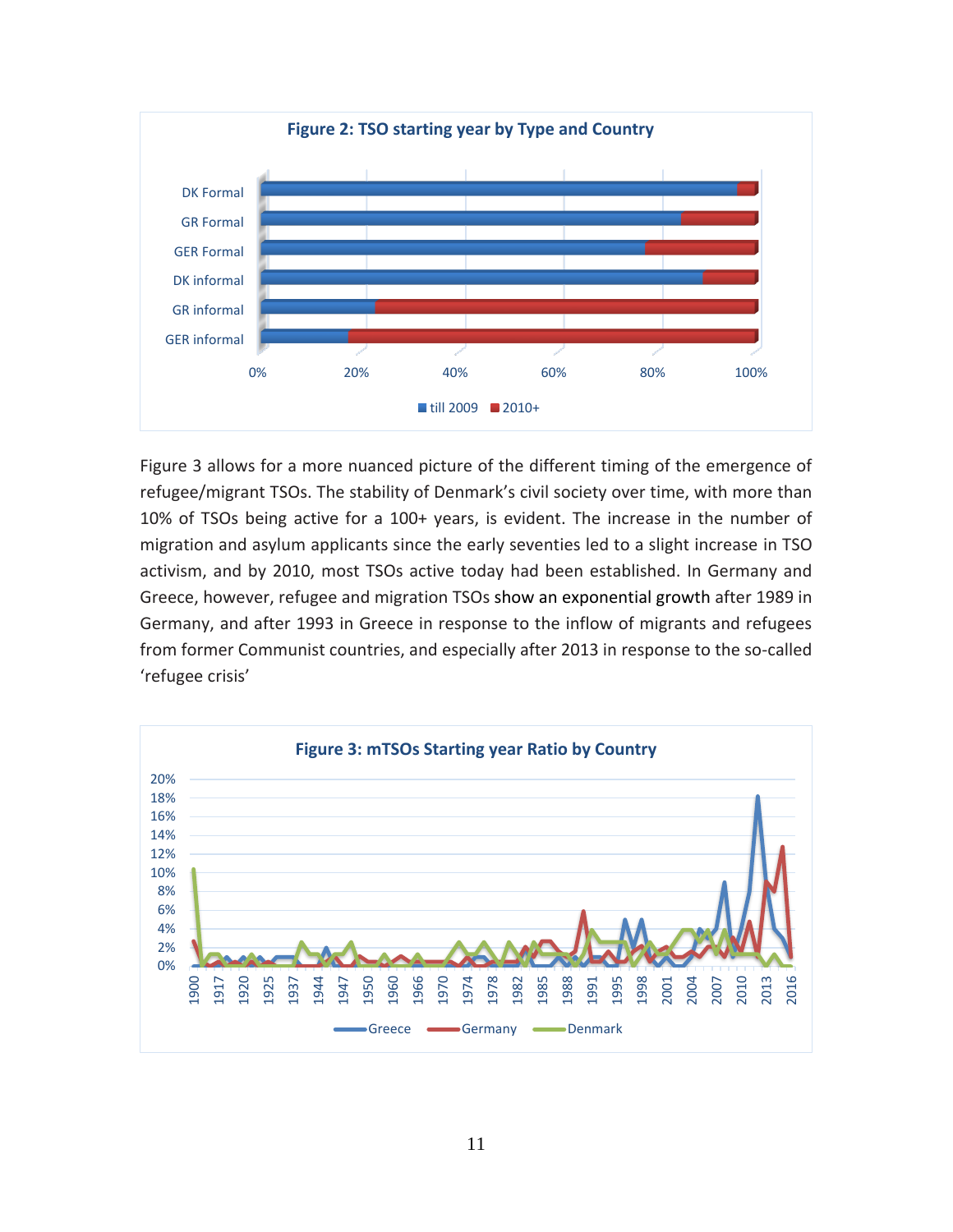

Figure 3 allows for a more nuanced picture of the different timing of the emergence of refugee/migrant TSOs. The stability of Denmark's civil society over time, with more than 10% of TSOs being active for a 100+ years, is evident. The increase in the number of migration and asylum applicants since the early seventies led to a slight increase in TSO activism, and by 2010, most TSOs active today had been established. In Germany and Greece, however, refugee and migration TSOs show an exponential growth after 1989 in Germany, and after 1993 in Greece in response to the inflow of migrants and refugees from former Communist countries, and especially after 2013 in response to the so-called 'refugee crisis'

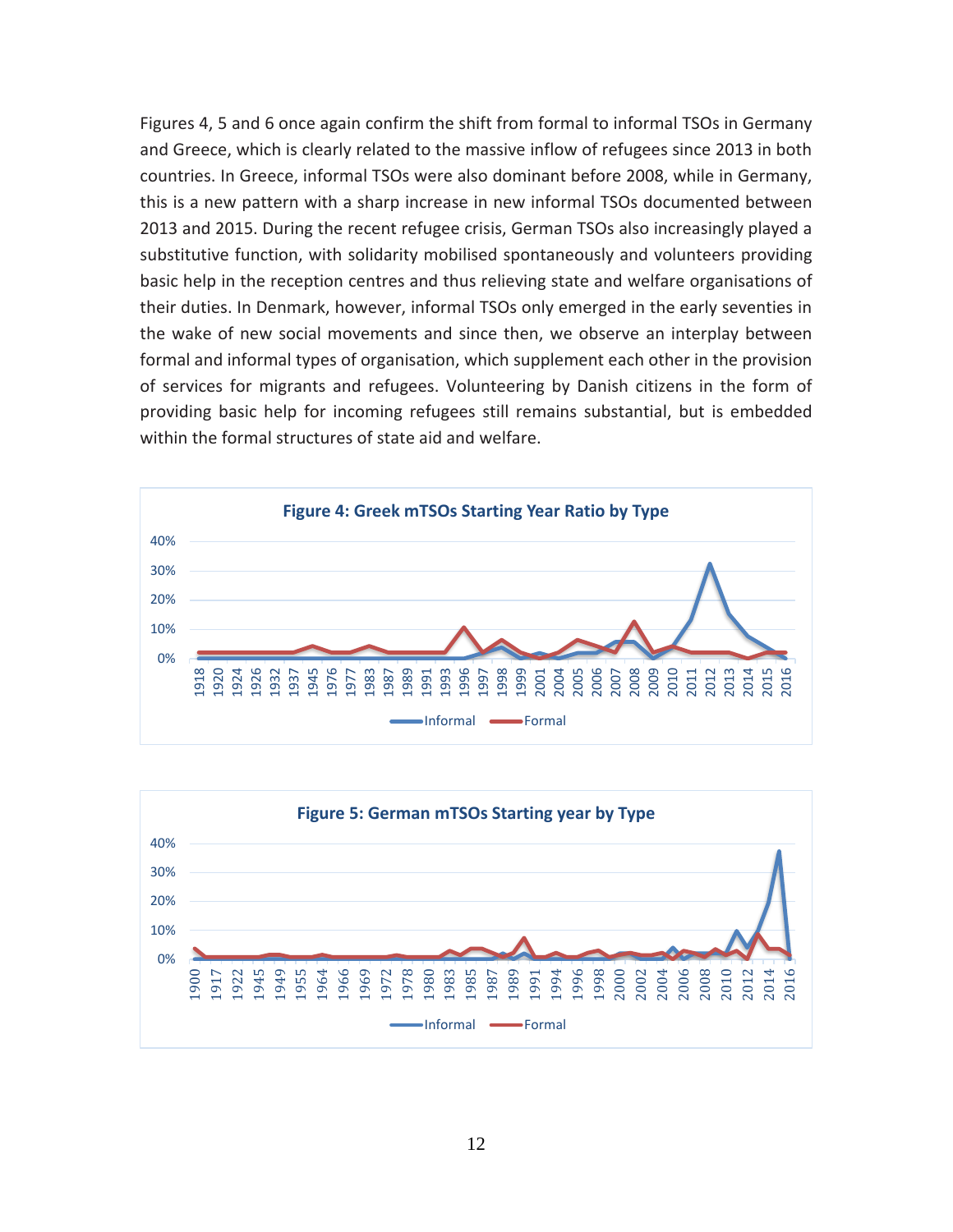Figures 4, 5 and 6 once again confirm the shift from formal to informal TSOs in Germany and Greece, which is clearly related to the massive inflow of refugees since 2013 in both countries. In Greece, informal TSOs were also dominant before 2008, while in Germany, this is a new pattern with a sharp increase in new informal TSOs documented between 2013 and 2015. During the recent refugee crisis, German TSOs also increasingly played a substitutive function, with solidarity mobilised spontaneously and volunteers providing basic help in the reception centres and thus relieving state and welfare organisations of their duties. In Denmark, however, informal TSOs only emerged in the early seventies in the wake of new social movements and since then, we observe an interplay between formal and informal types of organisation, which supplement each other in the provision of services for migrants and refugees. Volunteering by Danish citizens in the form of providing basic help for incoming refugees still remains substantial, but is embedded within the formal structures of state aid and welfare.



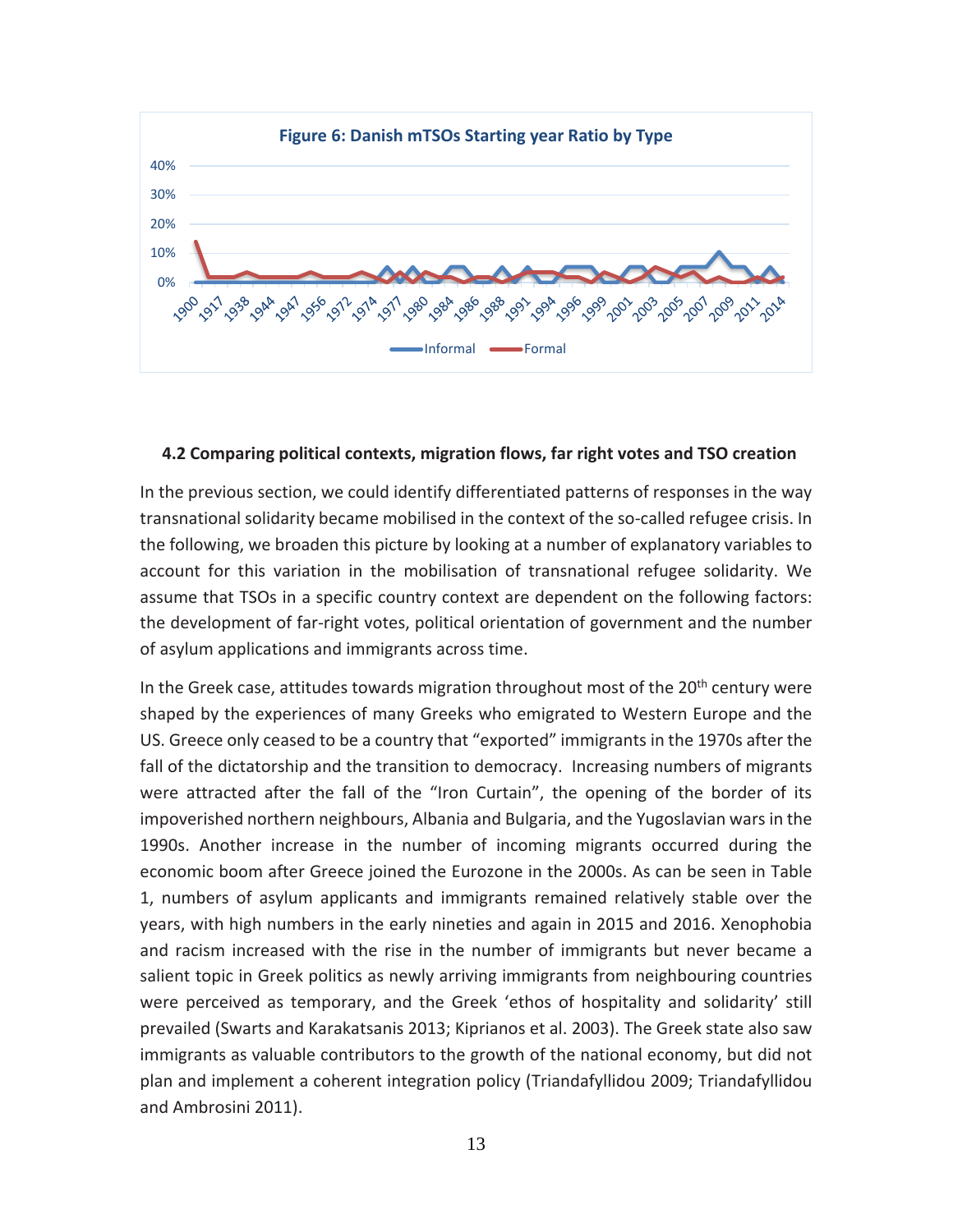

#### **4.2 Comparing political contexts, migration flows, far right votes and TSO creation**

In the previous section, we could identify differentiated patterns of responses in the way transnational solidarity became mobilised in the context of the so-called refugee crisis. In the following, we broaden this picture by looking at a number of explanatory variables to account for this variation in the mobilisation of transnational refugee solidarity. We assume that TSOs in a specific country context are dependent on the following factors: the development of far-right votes, political orientation of government and the number of asylum applications and immigrants across time.

In the Greek case, attitudes towards migration throughout most of the  $20<sup>th</sup>$  century were shaped by the experiences of many Greeks who emigrated to Western Europe and the US. Greece only ceased to be a country that "exported" immigrants in the 1970s after the fall of the dictatorship and the transition to democracy. Increasing numbers of migrants were attracted after the fall of the "Iron Curtain", the opening of the border of its impoverished northern neighbours, Albania and Bulgaria, and the Yugoslavian wars in the 1990s. Another increase in the number of incoming migrants occurred during the economic boom after Greece joined the Eurozone in the 2000s. As can be seen in Table 1, numbers of asylum applicants and immigrants remained relatively stable over the years, with high numbers in the early nineties and again in 2015 and 2016. Xenophobia and racism increased with the rise in the number of immigrants but never became a salient topic in Greek politics as newly arriving immigrants from neighbouring countries were perceived as temporary, and the Greek 'ethos of hospitality and solidarity' still prevailed (Swarts and Karakatsanis 2013; Kiprianos et al. 2003). The Greek state also saw immigrants as valuable contributors to the growth of the national economy, but did not plan and implement a coherent integration policy (Triandafyllidou 2009; Triandafyllidou and Ambrosini 2011).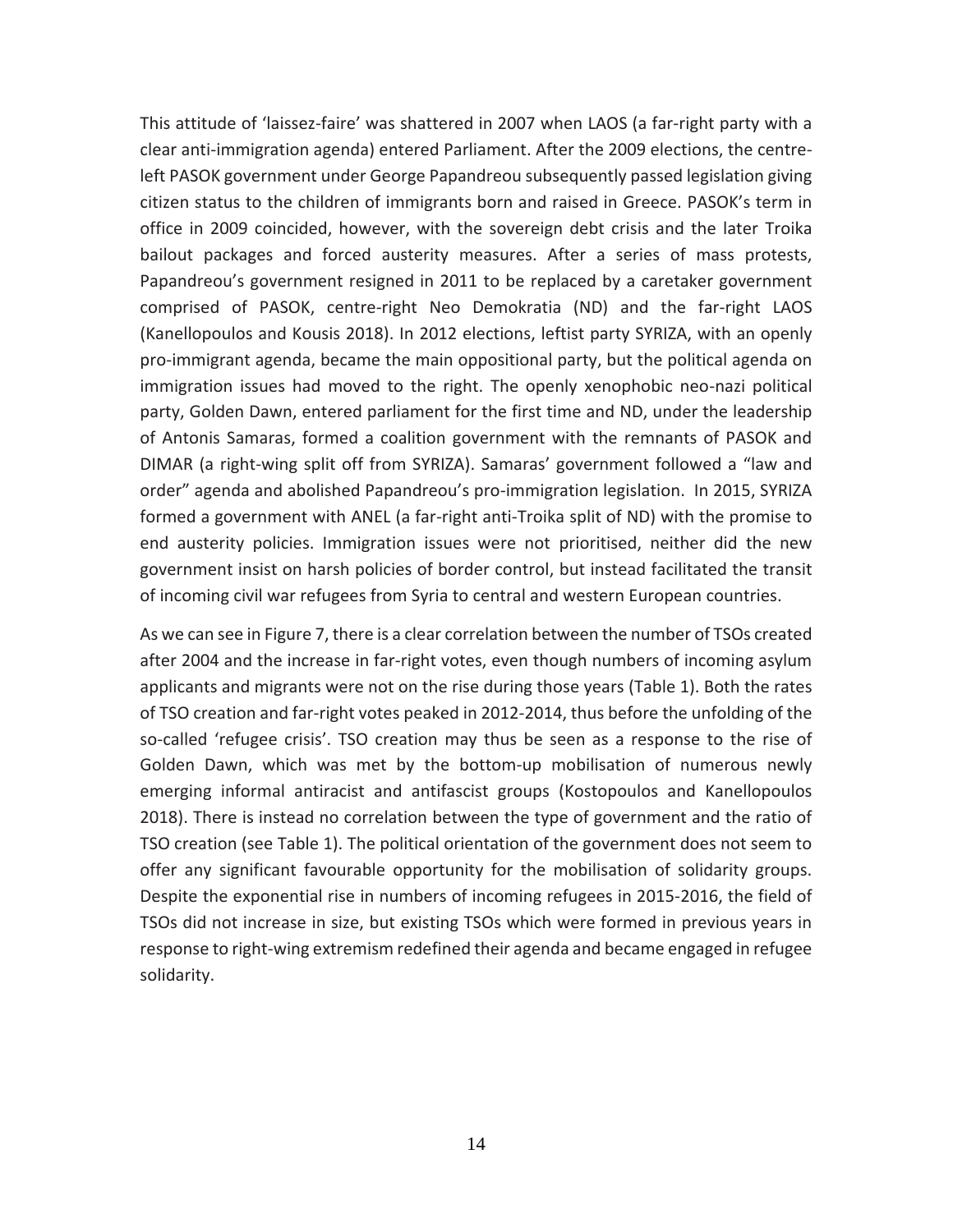This attitude of 'laissez-faire' was shattered in 2007 when LAOS (a far-right party with a clear anti-immigration agenda) entered Parliament. After the 2009 elections, the centreleft PASOK government under George Papandreou subsequently passed legislation giving citizen status to the children of immigrants born and raised in Greece. PASOK's term in office in 2009 coincided, however, with the sovereign debt crisis and the later Troika bailout packages and forced austerity measures. After a series of mass protests, Papandreou's government resigned in 2011 to be replaced by a caretaker government comprised of PASOK, centre-right Neo Demokratia (ND) and the far-right LAOS (Kanellopoulos and Kousis 2018). In 2012 elections, leftist party SYRIZA, with an openly pro-immigrant agenda, became the main oppositional party, but the political agenda on immigration issues had moved to the right. The openly xenophobic neo-nazi political party, Golden Dawn, entered parliament for the first time and ND, under the leadership of Antonis Samaras, formed a coalition government with the remnants of PASOK and DIMAR (a right-wing split off from SYRIZA). Samaras' government followed a "law and order" agenda and abolished Papandreou's pro-immigration legislation. In 2015, SYRIZA formed a government with ANEL (a far-right anti-Troika split of ND) with the promise to end austerity policies. Immigration issues were not prioritised, neither did the new government insist on harsh policies of border control, but instead facilitated the transit of incoming civil war refugees from Syria to central and western European countries.

As we can see in Figure 7, there is a clear correlation between the number of TSOs created after 2004 and the increase in far-right votes, even though numbers of incoming asylum applicants and migrants were not on the rise during those years (Table 1). Both the rates of TSO creation and far-right votes peaked in 2012-2014, thus before the unfolding of the so-called 'refugee crisis'. TSO creation may thus be seen as a response to the rise of Golden Dawn, which was met by the bottom-up mobilisation of numerous newly emerging informal antiracist and antifascist groups (Kostopoulos and Kanellopoulos 2018). There is instead no correlation between the type of government and the ratio of TSO creation (see Table 1). The political orientation of the government does not seem to offer any significant favourable opportunity for the mobilisation of solidarity groups. Despite the exponential rise in numbers of incoming refugees in 2015-2016, the field of TSOs did not increase in size, but existing TSOs which were formed in previous years in response to right-wing extremism redefined their agenda and became engaged in refugee solidarity.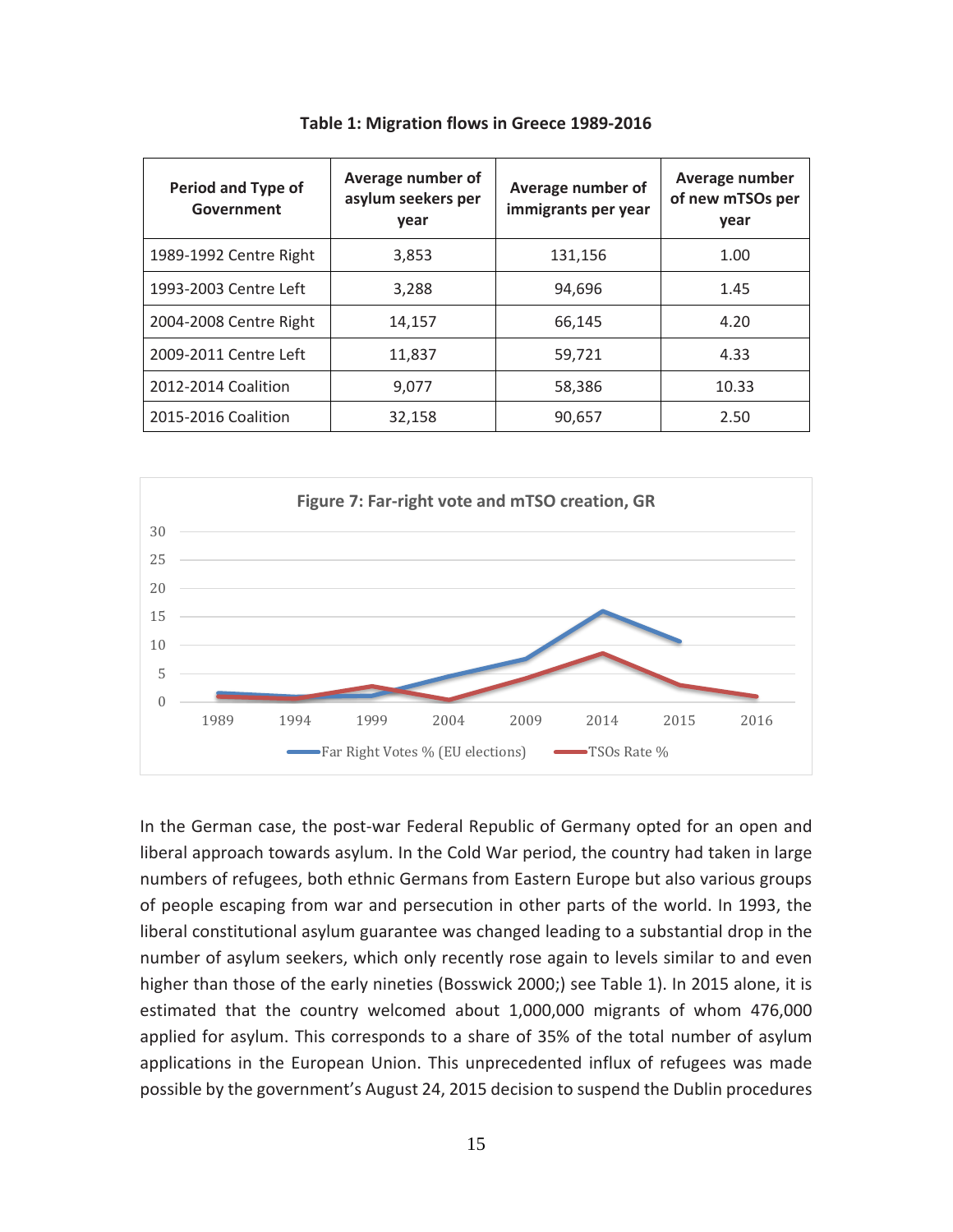| Period and Type of<br>Government | Average number of<br>asylum seekers per<br>year | Average number of<br>immigrants per year | Average number<br>of new mTSOs per<br>year |
|----------------------------------|-------------------------------------------------|------------------------------------------|--------------------------------------------|
| 1989-1992 Centre Right           | 3,853                                           | 131,156                                  | 1.00                                       |
| 1993-2003 Centre Left            | 3,288                                           | 94,696                                   | 1.45                                       |
| 2004-2008 Centre Right           | 14,157                                          | 66,145                                   | 4.20                                       |
| 2009-2011 Centre Left            | 11,837                                          | 59,721                                   | 4.33                                       |
| 2012-2014 Coalition              | 9,077                                           | 58,386                                   | 10.33                                      |
| 2015-2016 Coalition              | 32,158                                          | 90,657                                   | 2.50                                       |

**Table 1: Migration flows in Greece 1989-2016**



In the German case, the post-war Federal Republic of Germany opted for an open and liberal approach towards asylum. In the Cold War period, the country had taken in large numbers of refugees, both ethnic Germans from Eastern Europe but also various groups of people escaping from war and persecution in other parts of the world. In 1993, the liberal constitutional asylum guarantee was changed leading to a substantial drop in the number of asylum seekers, which only recently rose again to levels similar to and even higher than those of the early nineties [\(Bosswick 2000;](#page-21-12)) see Table 1). In 2015 alone, it is estimated that the country welcomed about 1,000,000 migrants of whom 476,000 applied for asylum. This corresponds to a share of 35% of the total number of asylum applications in the European Union. This unprecedented influx of refugees was made possible by the government's August 24, 2015 decision to suspend the Dublin procedures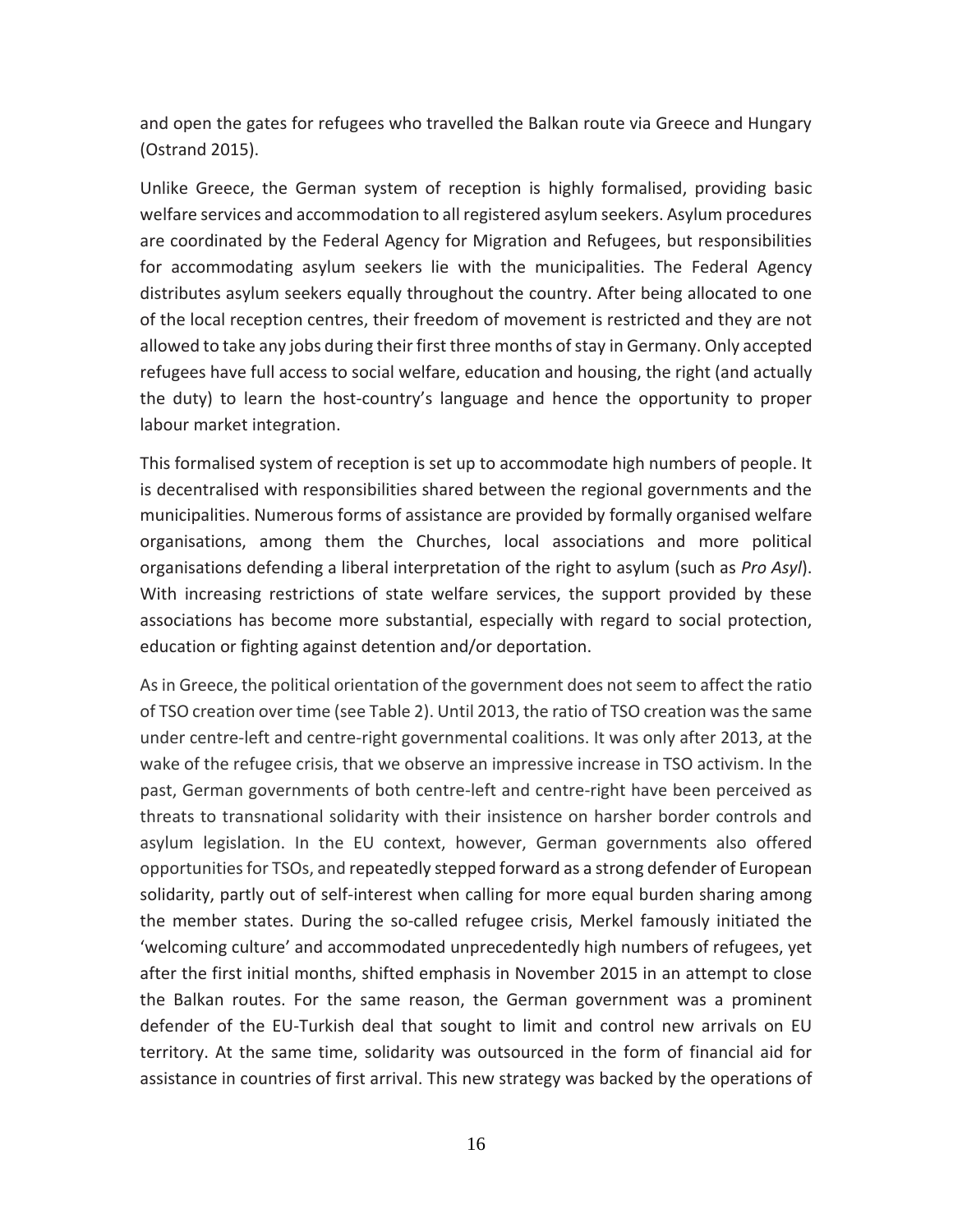and open the gates for refugees who travelled the Balkan route via Greece and Hungary [\(Ostrand 2015\)](#page-23-8).

Unlike Greece, the German system of reception is highly formalised, providing basic welfare services and accommodation to all registered asylum seekers. Asylum procedures are coordinated by the Federal Agency for Migration and Refugees, but responsibilities for accommodating asylum seekers lie with the municipalities. The Federal Agency distributes asylum seekers equally throughout the country. After being allocated to one of the local reception centres, their freedom of movement is restricted and they are not allowed to take any jobs during their first three months of stay in Germany. Only accepted refugees have full access to social welfare, education and housing, the right (and actually the duty) to learn the host-country's language and hence the opportunity to proper labour market integration.

This formalised system of reception is set up to accommodate high numbers of people. It is decentralised with responsibilities shared between the regional governments and the municipalities. Numerous forms of assistance are provided by formally organised welfare organisations, among them the Churches, local associations and more political organisations defending a liberal interpretation of the right to asylum (such as *Pro Asyl*). With increasing restrictions of state welfare services, the support provided by these associations has become more substantial, especially with regard to social protection, education or fighting against detention and/or deportation.

As in Greece, the political orientation of the government does not seem to affect the ratio of TSO creation over time (see Table 2). Until 2013, the ratio of TSO creation was the same under centre-left and centre-right governmental coalitions. It was only after 2013, at the wake of the refugee crisis, that we observe an impressive increase in TSO activism. In the past, German governments of both centre-left and centre-right have been perceived as threats to transnational solidarity with their insistence on harsher border controls and asylum legislation. In the EU context, however, German governments also offered opportunities for TSOs, and repeatedly stepped forward as a strong defender of European solidarity, partly out of self-interest when calling for more equal burden sharing among the member states. During the so-called refugee crisis, Merkel famously initiated the 'welcoming culture' and accommodated unprecedentedly high numbers of refugees, yet after the first initial months, shifted emphasis in November 2015 in an attempt to close the Balkan routes. For the same reason, the German government was a prominent defender of the EU-Turkish deal that sought to limit and control new arrivals on EU territory. At the same time, solidarity was outsourced in the form of financial aid for assistance in countries of first arrival. This new strategy was backed by the operations of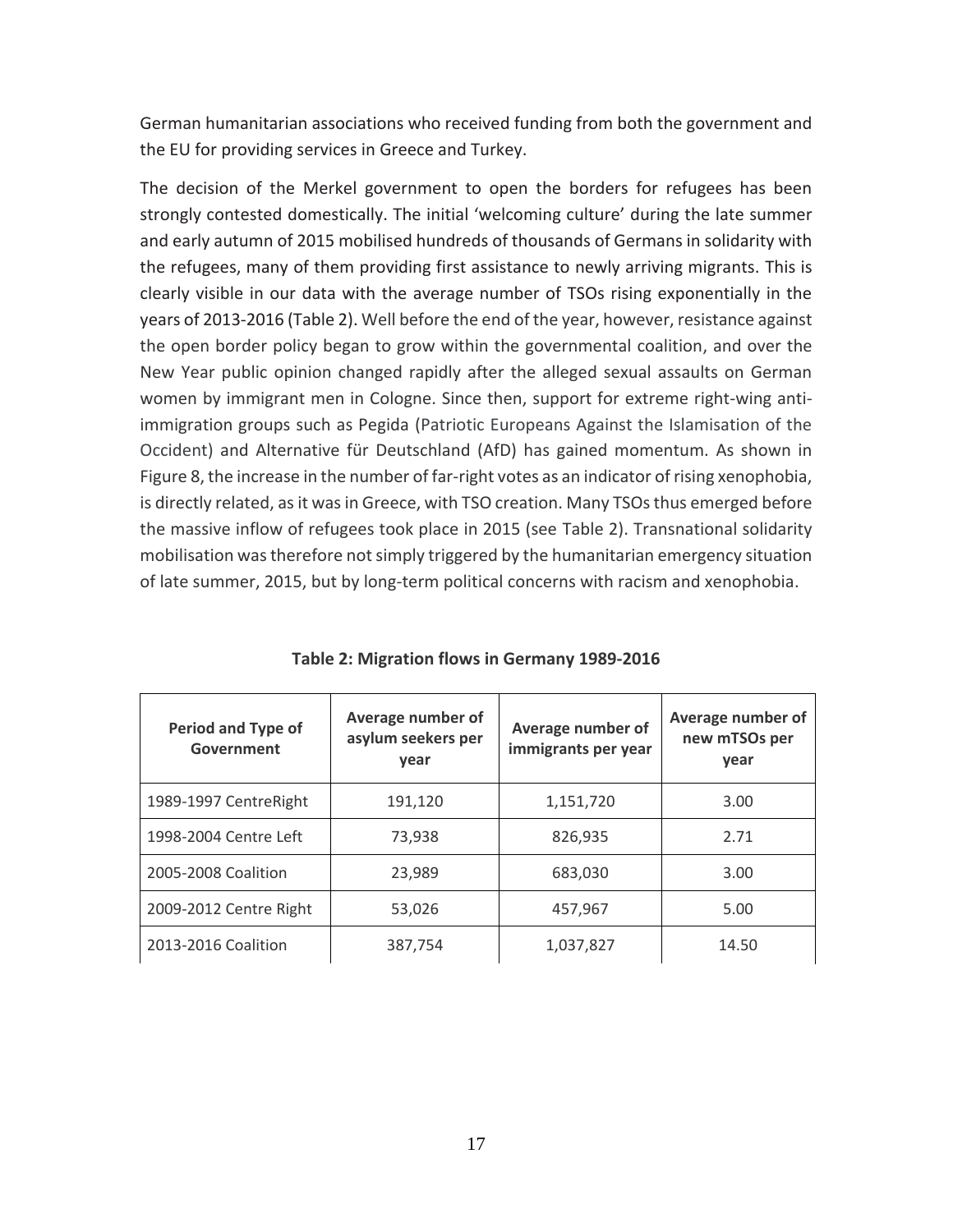German humanitarian associations who received funding from both the government and the EU for providing services in Greece and Turkey.

The decision of the Merkel government to open the borders for refugees has been strongly contested domestically. The initial 'welcoming culture' during the late summer and early autumn of 2015 mobilised hundreds of thousands of Germans in solidarity with the refugees, many of them providing first assistance to newly arriving migrants. This is clearly visible in our data with the average number of TSOs rising exponentially in the years of 2013-2016 (Table 2). Well before the end of the year, however, resistance against the open border policy began to grow within the governmental coalition, and over the New Year public opinion changed rapidly after the alleged sexual assaults on German women by immigrant men in Cologne. Since then, support for extreme right-wing antiimmigration groups such as Pegida (Patriotic Europeans Against the Islamisation of the Occident) and Alternative für Deutschland (AfD) has gained momentum. As shown in Figure 8, the increase in the number of far-right votes as an indicator of rising xenophobia, is directly related, as it was in Greece, with TSO creation. Many TSOs thus emerged before the massive inflow of refugees took place in 2015 (see Table 2). Transnational solidarity mobilisation was therefore not simply triggered by the humanitarian emergency situation of late summer, 2015, but by long-term political concerns with racism and xenophobia.

| <b>Period and Type of</b><br>Government | Average number of<br>asylum seekers per<br>year | Average number of<br>immigrants per year | Average number of<br>new mTSOs per<br>year |
|-----------------------------------------|-------------------------------------------------|------------------------------------------|--------------------------------------------|
| 1989-1997 CentreRight                   | 191,120                                         | 1,151,720                                | 3.00                                       |
| 1998-2004 Centre Left                   | 73,938                                          | 826,935                                  | 2.71                                       |
| 2005-2008 Coalition                     | 23,989                                          | 683,030                                  | 3.00                                       |
| 2009-2012 Centre Right                  | 53,026                                          | 457,967                                  | 5.00                                       |
| 2013-2016 Coalition                     | 387,754                                         | 1,037,827                                | 14.50                                      |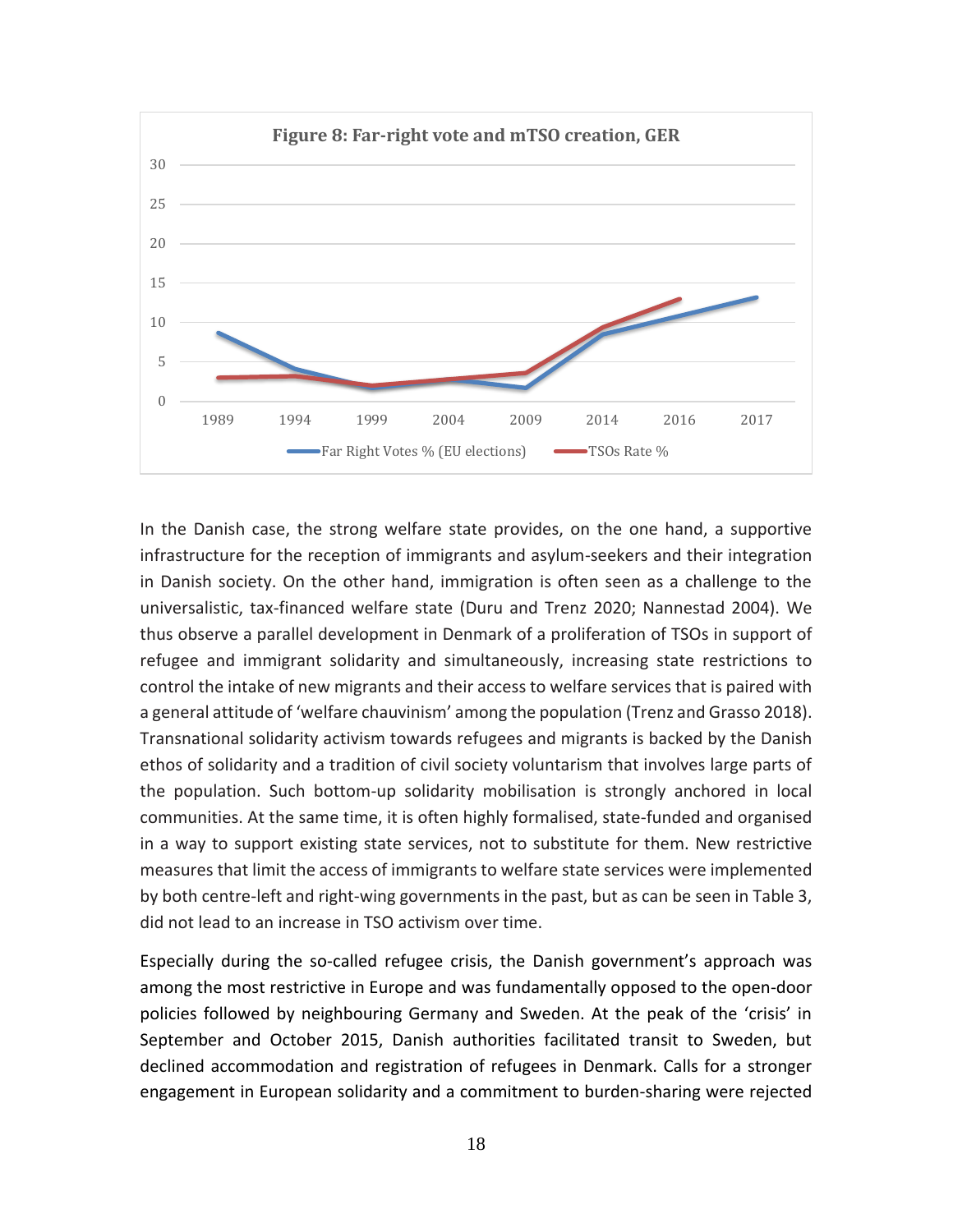

In the Danish case, the strong welfare state provides, on the one hand, a supportive infrastructure for the reception of immigrants and asylum-seekers and their integration in Danish society. On the other hand, immigration is often seen as a challenge to the universalistic, tax-financed welfare state (Duru and Trenz 2020; [Nannestad 2004\)](#page-23-9). We thus observe a parallel development in Denmark of a proliferation of TSOs in support of refugee and immigrant solidarity and simultaneously, increasing state restrictions to control the intake of new migrants and their access to welfare services that is paired with a general attitude of 'welfare chauvinism' among the population (Trenz and Grasso 2018). Transnational solidarity activism towards refugees and migrants is backed by the Danish ethos of solidarity and a tradition of civil society voluntarism that involves large parts of the population. Such bottom-up solidarity mobilisation is strongly anchored in local communities. At the same time, it is often highly formalised, state-funded and organised in a way to support existing state services, not to substitute for them. New restrictive measures that limit the access of immigrants to welfare state services were implemented by both centre-left and right-wing governments in the past, but as can be seen in Table 3, did not lead to an increase in TSO activism over time.

Especially during the so-called refugee crisis, the Danish government's approach was among the most restrictive in Europe and was fundamentally opposed to the open-door policies followed by neighbouring Germany and Sweden. At the peak of the 'crisis' in September and October 2015, Danish authorities facilitated transit to Sweden, but declined accommodation and registration of refugees in Denmark. Calls for a stronger engagement in European solidarity and a commitment to burden-sharing were rejected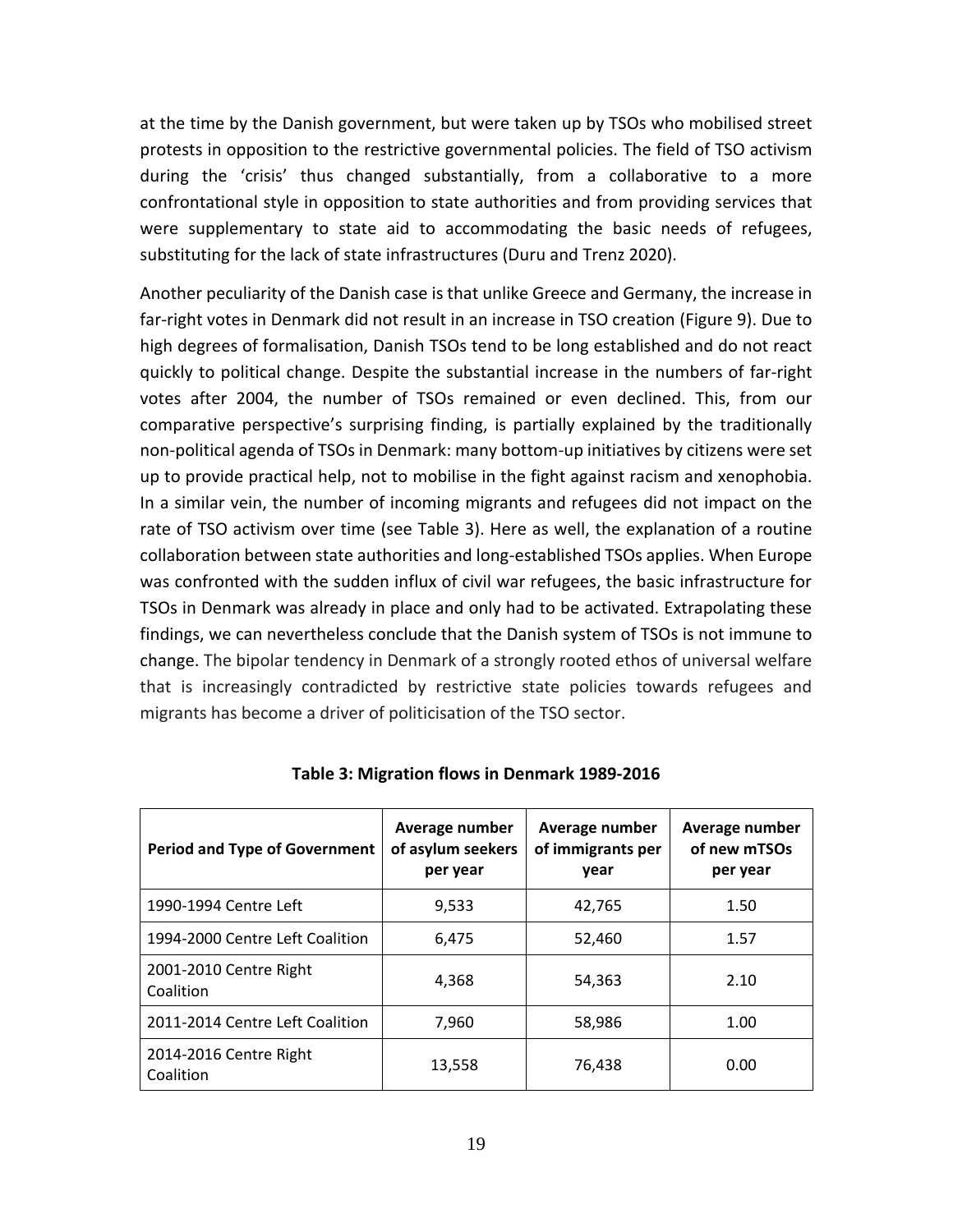at the time by the Danish government, but were taken up by TSOs who mobilised street protests in opposition to the restrictive governmental policies. The field of TSO activism during the 'crisis' thus changed substantially, from a collaborative to a more confrontational style in opposition to state authorities and from providing services that were supplementary to state aid to accommodating the basic needs of refugees, substituting for the lack of state infrastructures (Duru and Trenz 2020).

Another peculiarity of the Danish case is that unlike Greece and Germany, the increase in far-right votes in Denmark did not result in an increase in TSO creation (Figure 9). Due to high degrees of formalisation, Danish TSOs tend to be long established and do not react quickly to political change. Despite the substantial increase in the numbers of far-right votes after 2004, the number of TSOs remained or even declined. This, from our comparative perspective's surprising finding, is partially explained by the traditionally non-political agenda of TSOs in Denmark: many bottom-up initiatives by citizens were set up to provide practical help, not to mobilise in the fight against racism and xenophobia. In a similar vein, the number of incoming migrants and refugees did not impact on the rate of TSO activism over time (see Table 3). Here as well, the explanation of a routine collaboration between state authorities and long-established TSOs applies. When Europe was confronted with the sudden influx of civil war refugees, the basic infrastructure for TSOs in Denmark was already in place and only had to be activated. Extrapolating these findings, we can nevertheless conclude that the Danish system of TSOs is not immune to change. The bipolar tendency in Denmark of a strongly rooted ethos of universal welfare that is increasingly contradicted by restrictive state policies towards refugees and migrants has become a driver of politicisation of the TSO sector.

| <b>Period and Type of Government</b> | Average number<br>of asylum seekers<br>per year | Average number<br>of immigrants per<br>year | Average number<br>of new mTSOs<br>per year |
|--------------------------------------|-------------------------------------------------|---------------------------------------------|--------------------------------------------|
| 1990-1994 Centre Left                | 9,533                                           | 42,765                                      | 1.50                                       |
| 1994-2000 Centre Left Coalition      | 6.475                                           | 52,460                                      | 1.57                                       |
| 2001-2010 Centre Right<br>Coalition  | 4.368                                           | 54,363                                      | 2.10                                       |
| 2011-2014 Centre Left Coalition      | 7,960                                           | 58,986                                      | 1.00                                       |
| 2014-2016 Centre Right<br>Coalition  | 13,558                                          | 76,438                                      | 0.00                                       |

**Table 3: Migration flows in Denmark 1989-2016**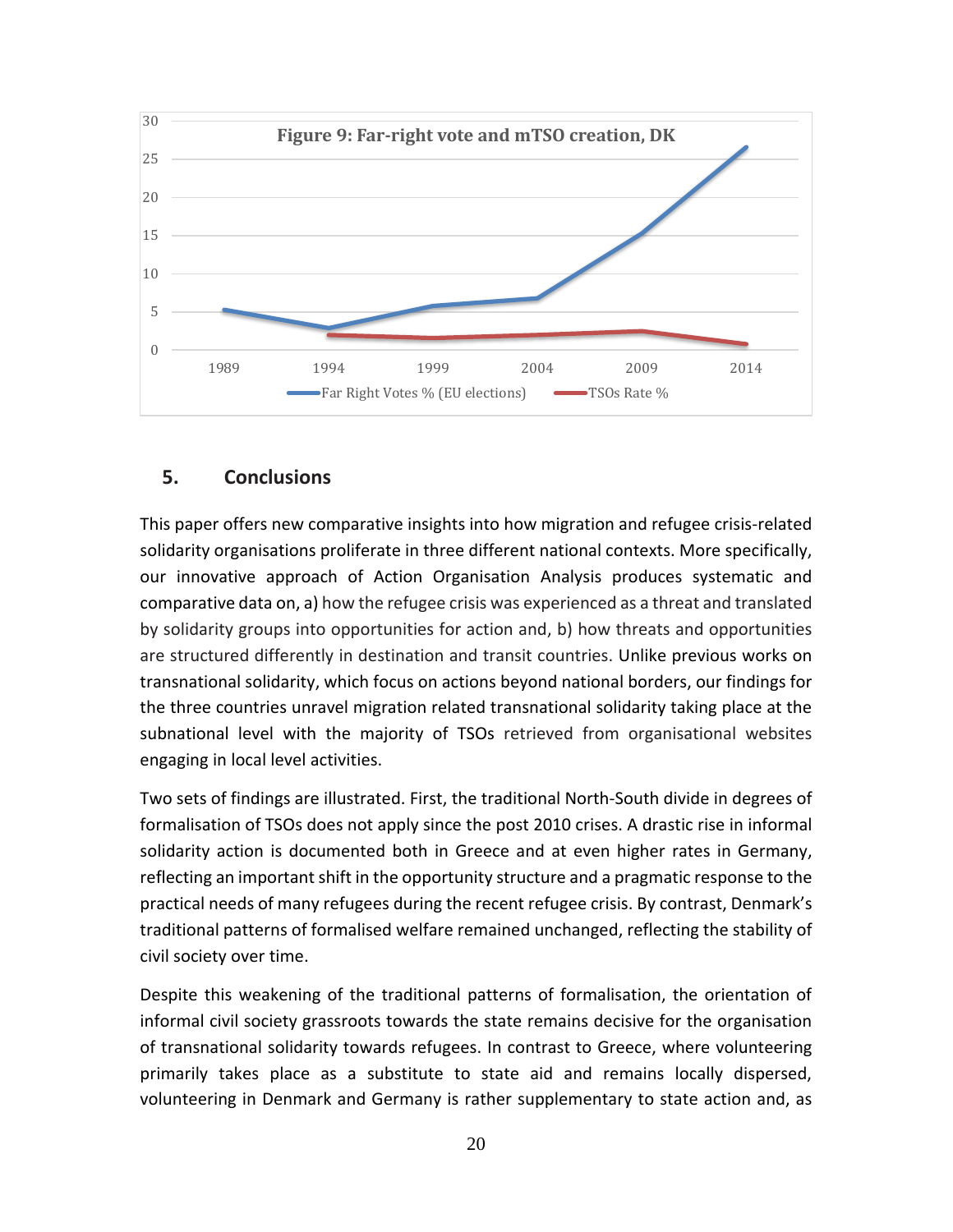

## **5. Conclusions**

This paper offers new comparative insights into how migration and refugee crisis-related solidarity organisations proliferate in three different national contexts. More specifically, our innovative approach of Action Organisation Analysis produces systematic and comparative data on, a) how the refugee crisis was experienced as a threat and translated by solidarity groups into opportunities for action and, b) how threats and opportunities are structured differently in destination and transit countries. Unlike previous works on transnational solidarity, which focus on actions beyond national borders, our findings for the three countries unravel migration related transnational solidarity taking place at the subnational level with the majority of TSOs retrieved from organisational websites engaging in local level activities.

Two sets of findings are illustrated. First, the traditional North-South divide in degrees of formalisation of TSOs does not apply since the post 2010 crises. A drastic rise in informal solidarity action is documented both in Greece and at even higher rates in Germany, reflecting an important shift in the opportunity structure and a pragmatic response to the practical needs of many refugees during the recent refugee crisis. By contrast, Denmark's traditional patterns of formalised welfare remained unchanged, reflecting the stability of civil society over time.

Despite this weakening of the traditional patterns of formalisation, the orientation of informal civil society grassroots towards the state remains decisive for the organisation of transnational solidarity towards refugees. In contrast to Greece, where volunteering primarily takes place as a substitute to state aid and remains locally dispersed, volunteering in Denmark and Germany is rather supplementary to state action and, as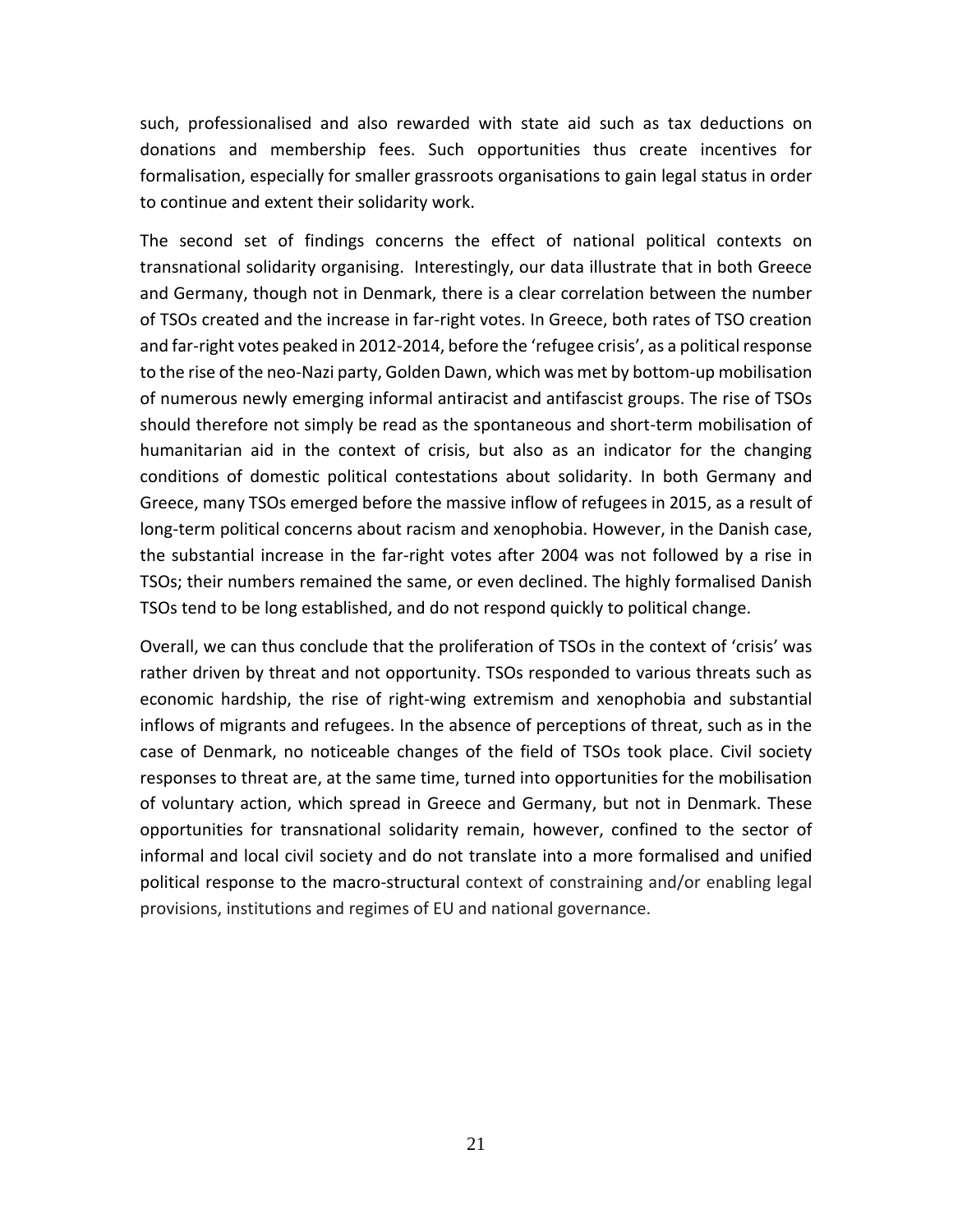such, professionalised and also rewarded with state aid such as tax deductions on donations and membership fees. Such opportunities thus create incentives for formalisation, especially for smaller grassroots organisations to gain legal status in order to continue and extent their solidarity work.

The second set of findings concerns the effect of national political contexts on transnational solidarity organising. Interestingly, our data illustrate that in both Greece and Germany, though not in Denmark, there is a clear correlation between the number of TSOs created and the increase in far-right votes. In Greece, both rates of TSO creation and far-right votes peaked in 2012-2014, before the 'refugee crisis', as a political response to the rise of the neo-Nazi party, Golden Dawn, which was met by bottom-up mobilisation of numerous newly emerging informal antiracist and antifascist groups. The rise of TSOs should therefore not simply be read as the spontaneous and short-term mobilisation of humanitarian aid in the context of crisis, but also as an indicator for the changing conditions of domestic political contestations about solidarity. In both Germany and Greece, many TSOs emerged before the massive inflow of refugees in 2015, as a result of long-term political concerns about racism and xenophobia. However, in the Danish case, the substantial increase in the far-right votes after 2004 was not followed by a rise in TSOs; their numbers remained the same, or even declined. The highly formalised Danish TSOs tend to be long established, and do not respond quickly to political change.

Overall, we can thus conclude that the proliferation of TSOs in the context of 'crisis' was rather driven by threat and not opportunity. TSOs responded to various threats such as economic hardship, the rise of right-wing extremism and xenophobia and substantial inflows of migrants and refugees. In the absence of perceptions of threat, such as in the case of Denmark, no noticeable changes of the field of TSOs took place. Civil society responses to threat are, at the same time, turned into opportunities for the mobilisation of voluntary action, which spread in Greece and Germany, but not in Denmark. These opportunities for transnational solidarity remain, however, confined to the sector of informal and local civil society and do not translate into a more formalised and unified political response to the macro-structural context of constraining and/or enabling legal provisions, institutions and regimes of EU and national governance.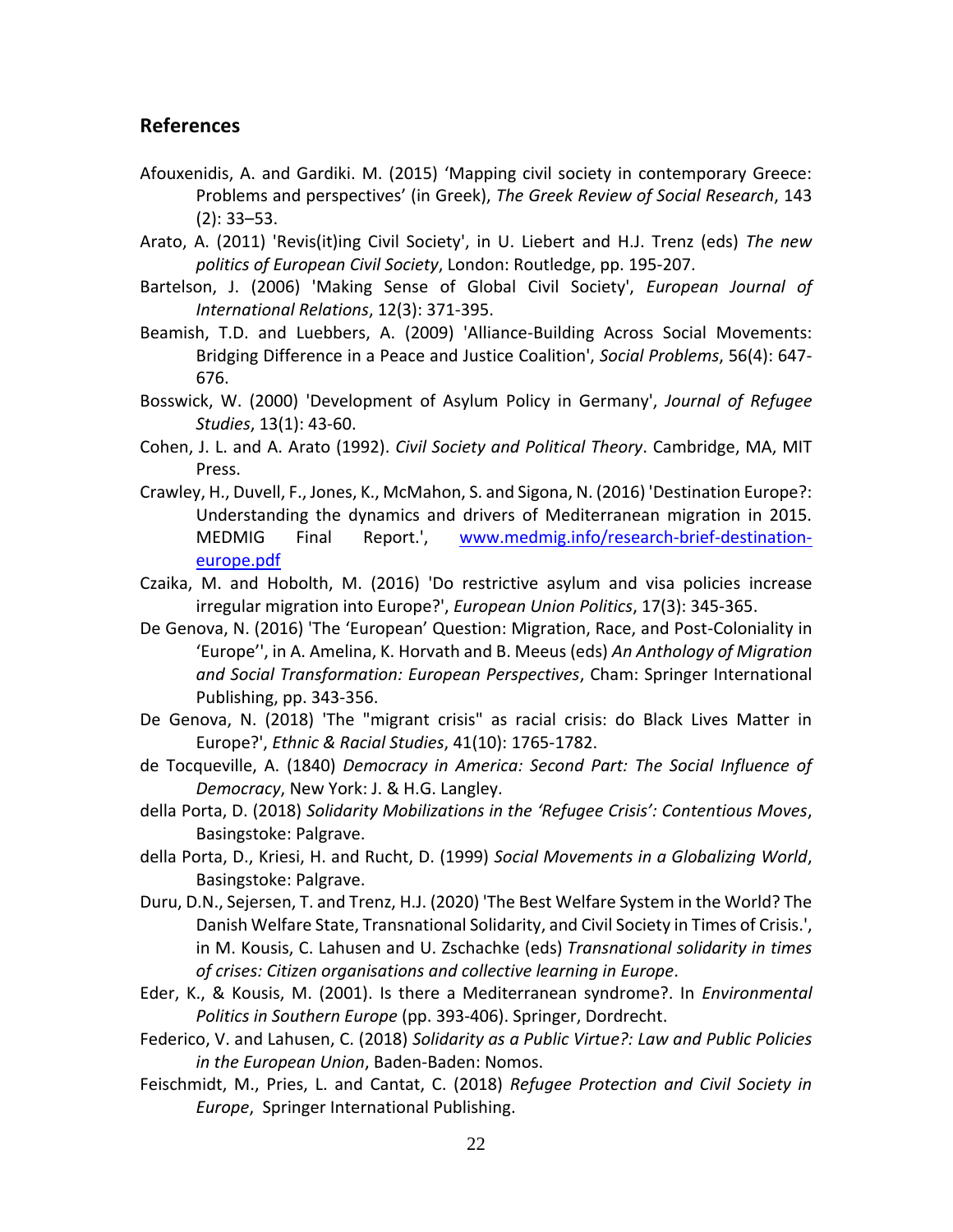### **References**

- Afouxenidis, A. and Gardiki. M. (2015) 'Mapping civil society in contemporary Greece: Problems and perspectives' (in Greek), *The Greek Review of Social Research*, 143 (2): 33–53.
- <span id="page-21-10"></span>Arato, A. (2011) 'Revis(it)ing Civil Society', in U. Liebert and H.J. Trenz (eds) *The new politics of European Civil Society*, London: Routledge, pp. 195-207.
- <span id="page-21-9"></span>Bartelson, J. (2006) 'Making Sense of Global Civil Society', *European Journal of International Relations*, 12(3): 371-395.
- <span id="page-21-11"></span>Beamish, T.D. and Luebbers, A. (2009) 'Alliance-Building Across Social Movements: Bridging Difference in a Peace and Justice Coalition', *Social Problems*, 56(4): 647- 676.
- <span id="page-21-12"></span>Bosswick, W. (2000) 'Development of Asylum Policy in Germany', *Journal of Refugee Studies*, 13(1): 43-60.
- Cohen, J. L. and A. Arato (1992). *Civil Society and Political Theory*. Cambridge, MA, MIT Press.
- <span id="page-21-2"></span>Crawley, H., Duvell, F., Jones, K., McMahon, S. and Sigona, N. (2016) 'Destination Europe?: Understanding the dynamics and drivers of Mediterranean migration in 2015. MEDMIG Final Report.', [www.medmig.info/research-brief-destination](file:///C:/Users/europolity-2/Documents/www.medmig.info/research-brief-destination-europe.pdf)[europe.pdf](file:///C:/Users/europolity-2/Documents/www.medmig.info/research-brief-destination-europe.pdf)
- <span id="page-21-3"></span>Czaika, M. and Hobolth, M. (2016) 'Do restrictive asylum and visa policies increase irregular migration into Europe?', *European Union Politics*, 17(3): 345-365.
- <span id="page-21-4"></span>De Genova, N. (2016) 'The 'European' Question: Migration, Race, and Post-Coloniality in 'Europe'', in A. Amelina, K. Horvath and B. Meeus (eds) *An Anthology of Migration and Social Transformation: European Perspectives*, Cham: Springer International Publishing, pp. 343-356.
- <span id="page-21-5"></span>De Genova, N. (2018) 'The "migrant crisis" as racial crisis: do Black Lives Matter in Europe?', *Ethnic & Racial Studies*, 41(10): 1765-1782.
- <span id="page-21-8"></span>de Tocqueville, A. (1840) *Democracy in America: Second Part: The Social Influence of Democracy*, New York: J. & H.G. Langley.
- <span id="page-21-1"></span>della Porta, D. (2018) *Solidarity Mobilizations in the 'Refugee Crisis': Contentious Moves*, Basingstoke: Palgrave.
- <span id="page-21-6"></span>della Porta, D., Kriesi, H. and Rucht, D. (1999) *Social Movements in a Globalizing World*, Basingstoke: Palgrave.
- Duru, D.N., Sejersen, T. and Trenz, H.J. (2020) 'The Best Welfare System in the World? The Danish Welfare State, Transnational Solidarity, and Civil Society in Times of Crisis.', in M. Kousis, C. Lahusen and U. Zschachke (eds) *Transnational solidarity in times of crises: Citizen organisations and collective learning in Europe*.
- Eder, K., & Kousis, M. (2001). Is there a Mediterranean syndrome?. In *Environmental Politics in Southern Europe* (pp. 393-406). Springer, Dordrecht.
- <span id="page-21-7"></span>Federico, V. and Lahusen, C. (2018) *Solidarity as a Public Virtue?: Law and Public Policies in the European Union*, Baden-Baden: Nomos.
- <span id="page-21-0"></span>Feischmidt, M., Pries, L. and Cantat, C. (2018) *Refugee Protection and Civil Society in Europe*, Springer International Publishing.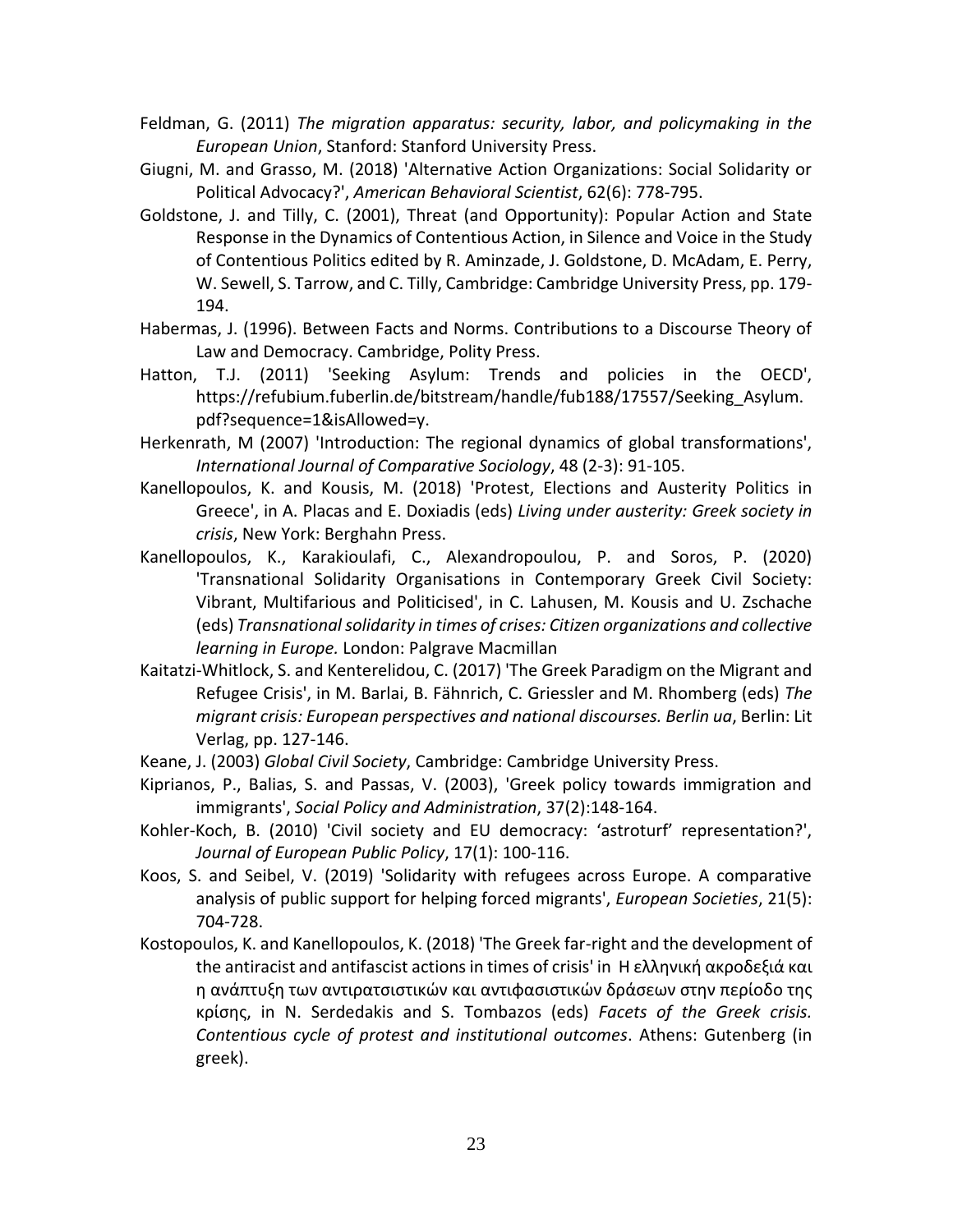- <span id="page-22-0"></span>Feldman, G. (2011) *The migration apparatus: security, labor, and policymaking in the European Union*, Stanford: Stanford University Press.
- <span id="page-22-6"></span>Giugni, M. and Grasso, M. (2018) 'Alternative Action Organizations: Social Solidarity or Political Advocacy?', *American Behavioral Scientist*, 62(6): 778-795.
- Goldstone, J. and Tilly, C. (2001), Threat (and Opportunity): Popular Action and State Response in the Dynamics of Contentious Action, in Silence and Voice in the Study of Contentious Politics edited by R. Aminzade, J. Goldstone, D. McAdam, E. Perry, W. Sewell, S. Tarrow, and C. Tilly, Cambridge: Cambridge University Press, pp. 179- 194.
- Habermas, J. (1996). Between Facts and Norms. Contributions to a Discourse Theory of Law and Democracy. Cambridge, Polity Press.
- <span id="page-22-1"></span>Hatton, T.J. (2011) 'Seeking Asylum: Trends and policies in the OECD', https://refubium.fuberlin.de/bitstream/handle/fub188/17557/Seeking\_Asylum. pdf?sequence=1&isAllowed=y.
- Herkenrath, M (2007) 'Introduction: The regional dynamics of global transformations', *International Journal of Comparative Sociology*, 48 (2-3): 91-105.
- Kanellopoulos, K. and Kousis, M. (2018) 'Protest, Elections and Austerity Politics in Greece', in A. Placas and E. Doxiadis (eds) *Living under austerity: Greek society in crisis*, New York: Berghahn Press.
- Kanellopoulos, K., Karakioulafi, C., Alexandropoulou, P. and Soros, P. (2020) 'Transnational Solidarity Organisations in Contemporary Greek Civil Society: Vibrant, Multifarious and Politicised', in C. Lahusen, M. Kousis and U. Zschache (eds) *Transnational solidarity in times of crises: Citizen organizations and collective learning in Europe.* London: Palgrave Macmillan
- <span id="page-22-4"></span>Kaitatzi-Whitlock, S. and Kenterelidou, C. (2017) 'The Greek Paradigm on the Migrant and Refugee Crisis', in M. Barlai, B. Fähnrich, C. Griessler and M. Rhomberg (eds) *The migrant crisis: European perspectives and national discourses. Berlin ua*, Berlin: Lit Verlag, pp. 127-146.
- <span id="page-22-5"></span>Keane, J. (2003) *Global Civil Society*, Cambridge: Cambridge University Press.
- Kiprianos, P., Balias, S. and Passas, V. (2003), 'Greek policy towards immigration and immigrants', *Social Policy and Administration*, 37(2):148-164.
- <span id="page-22-2"></span>Kohler-Koch, B. (2010) 'Civil society and EU democracy: 'astroturf' representation?', *Journal of European Public Policy*, 17(1): 100-116.
- <span id="page-22-3"></span>Koos, S. and Seibel, V. (2019) 'Solidarity with refugees across Europe. A comparative analysis of public support for helping forced migrants', *European Societies*, 21(5): 704-728.
- Kostopoulos, K. and Kanellopoulos, K. (2018) 'The Greek far-right and the development of the antiracist and antifascist actions in times of crisis' in Η ελληνική ακροδεξιά και η ανάπτυξη των αντιρατσιστικών και αντιφασιστικών δράσεων στην περίοδο της κρίσης, in N. Serdedakis and S. Tombazos (eds) *Facets of the Greek crisis. Contentious cycle of protest and institutional outcomes*. Athens: Gutenberg (in greek).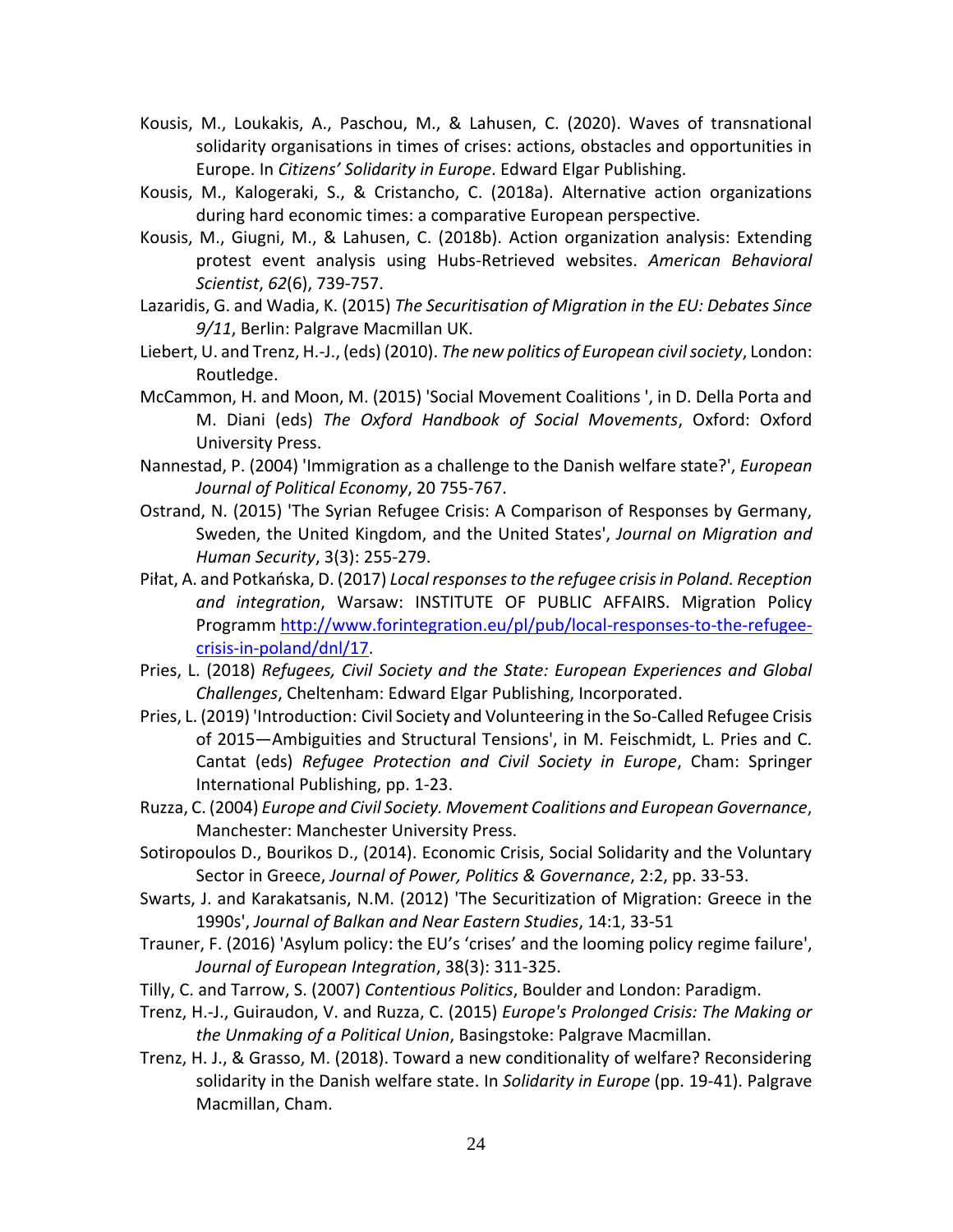- Kousis, M., Loukakis, A., Paschou, M., & Lahusen, C. (2020). Waves of transnational solidarity organisations in times of crises: actions, obstacles and opportunities in Europe. In *Citizens' Solidarity in Europe*. Edward Elgar Publishing.
- Kousis, M., Kalogeraki, S., & Cristancho, C. (2018a). Alternative action organizations during hard economic times: a comparative European perspective.
- Kousis, M., Giugni, M., & Lahusen, C. (2018b). Action organization analysis: Extending protest event analysis using Hubs-Retrieved websites. *American Behavioral Scientist*, *62*(6), 739-757.
- <span id="page-23-3"></span>Lazaridis, G. and Wadia, K. (2015) *The Securitisation of Migration in the EU: Debates Since 9/11*, Berlin: Palgrave Macmillan UK.
- <span id="page-23-1"></span>Liebert, U. and Trenz, H.-J., (eds) (2010). *The new politics of European civil society*, London: Routledge.
- <span id="page-23-7"></span>McCammon, H. and Moon, M. (2015) 'Social Movement Coalitions ', in D. Della Porta and M. Diani (eds) *The Oxford Handbook of Social Movements*, Oxford: Oxford University Press.
- <span id="page-23-9"></span>Nannestad, P. (2004) 'Immigration as a challenge to the Danish welfare state?', *European Journal of Political Economy*, 20 755-767.
- <span id="page-23-8"></span>Ostrand, N. (2015) 'The Syrian Refugee Crisis: A Comparison of Responses by Germany, Sweden, the United Kingdom, and the United States', *Journal on Migration and Human Security*, 3(3): 255-279.
- <span id="page-23-6"></span>Piłat, A. and Potkańska, D. (2017) *Local responses to the refugee crisis in Poland. Reception and integration*, Warsaw: INSTITUTE OF PUBLIC AFFAIRS. Migration Policy Programm [http://www.forintegration.eu/pl/pub/local-responses-to-the-refugee](http://www.forintegration.eu/pl/pub/local-responses-to-the-refugee-crisis-in-poland/dnl/17)[crisis-in-poland/dnl/17.](http://www.forintegration.eu/pl/pub/local-responses-to-the-refugee-crisis-in-poland/dnl/17)
- <span id="page-23-5"></span>Pries, L. (2018) *Refugees, Civil Society and the State: European Experiences and Global Challenges*, Cheltenham: Edward Elgar Publishing, Incorporated.
- <span id="page-23-0"></span>Pries, L. (2019) 'Introduction: Civil Society and Volunteering in the So-Called Refugee Crisis of 2015—Ambiguities and Structural Tensions', in M. Feischmidt, L. Pries and C. Cantat (eds) *Refugee Protection and Civil Society in Europe*, Cham: Springer International Publishing, pp. 1-23.
- <span id="page-23-2"></span>Ruzza, C. (2004) *Europe and Civil Society. Movement Coalitions and European Governance*, Manchester: Manchester University Press.
- Sotiropoulos D., Bourikos D., (2014). Economic Crisis, Social Solidarity and the Voluntary Sector in Greece, *Journal of Power, Politics & Governance*, 2:2, pp. 33-53.
- Swarts, J. and Karakatsanis, N.M. (2012) 'The Securitization of Migration: Greece in the 1990s', *Journal of Balkan and Near Eastern Studies*, 14:1, 33-51
- <span id="page-23-4"></span>Trauner, F. (2016) 'Asylum policy: the EU's 'crises' and the looming policy regime failure', *Journal of European Integration*, 38(3): 311-325.
- Tilly, C. and Tarrow, S. (2007) *Contentious Politics*, Boulder and London: Paradigm.
- Trenz, H.-J., Guiraudon, V. and Ruzza, C. (2015) *Europe's Prolonged Crisis: The Making or the Unmaking of a Political Union*, Basingstoke: Palgrave Macmillan.
- Trenz, H. J., & Grasso, M. (2018). Toward a new conditionality of welfare? Reconsidering solidarity in the Danish welfare state. In *Solidarity in Europe* (pp. 19-41). Palgrave Macmillan, Cham.